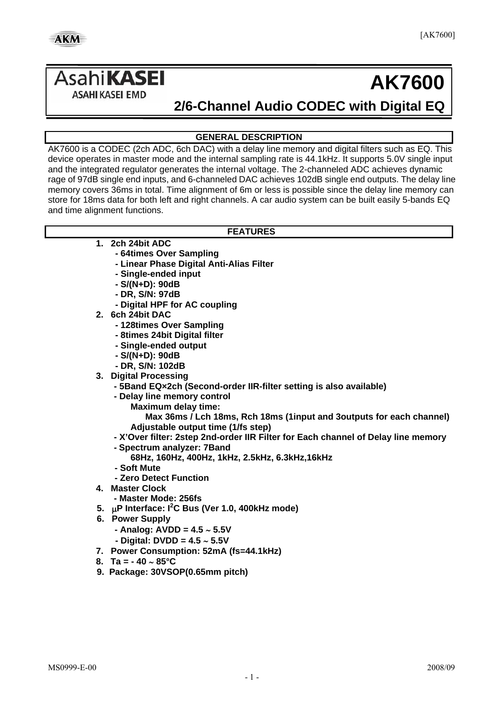# Asahi**KASEI**

# **AK7600**

**ASAHI KASEI EMD** 

## **2/6-Channel Audio CODEC with Digital EQ**

#### **GENERAL DESCRIPTION**

AK7600 is a CODEC (2ch ADC, 6ch DAC) with a delay line memory and digital filters such as EQ. This device operates in master mode and the internal sampling rate is 44.1kHz. It supports 5.0V single input and the integrated regulator generates the internal voltage. The 2-channeled ADC achieves dynamic rage of 97dB single end inputs, and 6-channeled DAC achieves 102dB single end outputs. The delay line memory covers 36ms in total. Time alignment of 6m or less is possible since the delay line memory can store for 18ms data for both left and right channels. A car audio system can be built easily 5-bands EQ and time alignment functions.

#### **FEATURES**

- **1. 2ch 24bit ADC** 
	- **64times Over Sampling**
	- **Linear Phase Digital Anti-Alias Filter**
	- **Single-ended input**
	- **S/(N+D): 90dB**
	- **DR, S/N: 97dB**
	- **Digital HPF for AC coupling**
- **2. 6ch 24bit DAC** 
	- **128times Over Sampling**
	- **8times 24bit Digital filter**
	- **Single-ended output**
	- **S/(N+D): 90dB**
	- **DR, S/N: 102dB**
- **3. Digital Processing** 
	- **5Band EQ×2ch (Second-order IIR-filter setting is also available)**
	- **Delay line memory control** 
		- **Maximum delay time:**
		- **Max 36ms / Lch 18ms, Rch 18ms (1input and 3outputs for each channel) Adjustable output time (1/fs step)**
	- **X'Over filter: 2step 2nd-order IIR Filter for Each channel of Delay line memory**
	- **- Spectrum analyzer: 7Band**
	- **68Hz, 160Hz, 400Hz, 1kHz, 2.5kHz, 6.3kHz,16kHz**
	- **Soft Mute**
	- **Zero Detect Function**
- **4. Master Clock** 
	- **Master Mode: 256fs**
- **5.** μ**P Interface: I2 C Bus (Ver 1.0, 400kHz mode)**
- **6. Power Supply** 
	- **Analog: AVDD = 4.5** ∼ **5.5V**
	- **Digital: DVDD = 4.5** ∼ **5.5V**
- **7. Power Consumption: 52mA (fs=44.1kHz)**
- **8. Ta = 40** ∼ **85°C**
- **9. Package: 30VSOP(0.65mm pitch)**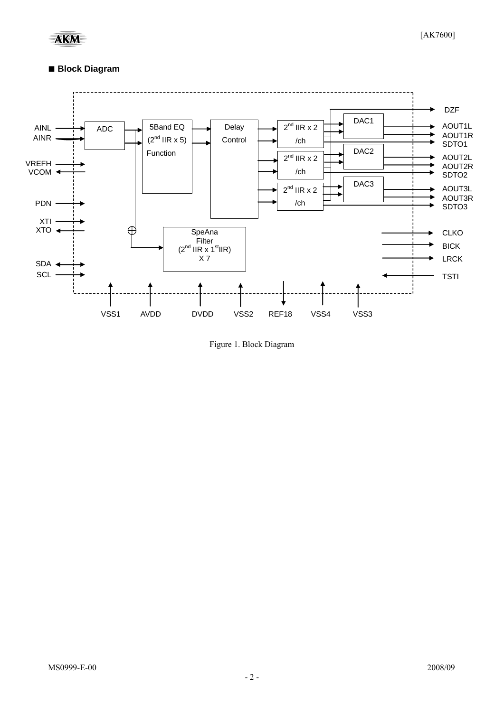### ■ **Block Diagram**



Figure 1. Block Diagram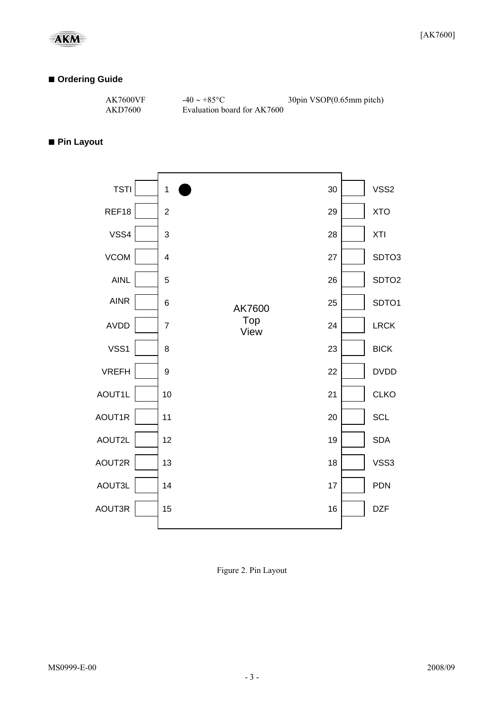#### **■ Ordering Guide**

| AK7600VF | $-40 \sim +85$ °C           | 30pin VSOP(0.65mm pitch) |
|----------|-----------------------------|--------------------------|
| AKD7600  | Evaluation board for AK7600 |                          |

#### **■ Pin Layout**



Figure 2. Pin Layout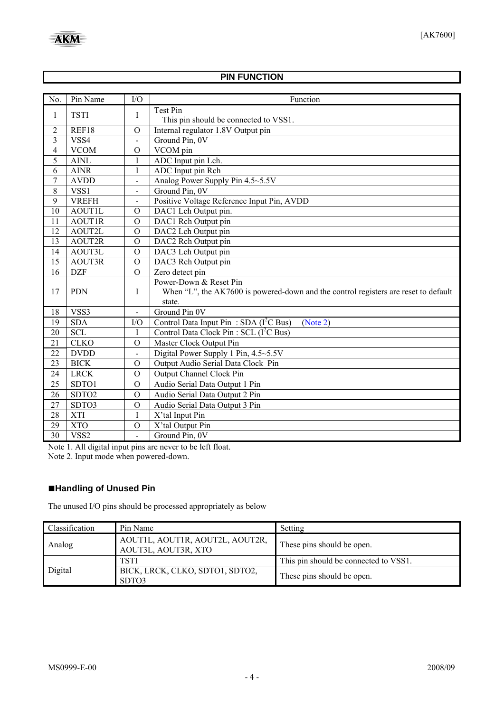#### **PIN FUNCTION**

<span id="page-3-0"></span>

| No.            | Pin Name          | I/O                      | Function                                                                            |
|----------------|-------------------|--------------------------|-------------------------------------------------------------------------------------|
|                | <b>TSTI</b>       |                          | Test Pin                                                                            |
| 1              |                   | Ι                        | This pin should be connected to VSS1.                                               |
| $\overline{2}$ | REF18             | $\overline{O}$           | Internal regulator 1.8V Output pin                                                  |
| $\overline{3}$ | VSS4              |                          | Ground Pin, 0V                                                                      |
| $\overline{4}$ | <b>VCOM</b>       | $\Omega$                 | VCOM pin                                                                            |
| 5              | <b>AINL</b>       | I                        | ADC Input pin Lch.                                                                  |
| 6              | <b>AINR</b>       | I                        | ADC Input pin Rch                                                                   |
| 7              | <b>AVDD</b>       | $\overline{\phantom{0}}$ | Analog Power Supply Pin 4.5~5.5V                                                    |
| 8              | VSS1              | $\blacksquare$           | Ground Pin, 0V                                                                      |
| $\overline{9}$ | <b>VREFH</b>      | $\blacksquare$           | Positive Voltage Reference Input Pin, AVDD                                          |
| 10             | <b>AOUTIL</b>     | $\overline{O}$           | DAC1 Lch Output pin.                                                                |
| 11             | <b>AOUT1R</b>     | $\overline{O}$           | DAC1 Rch Output pin                                                                 |
| 12             | AOUT2L            | $\overline{O}$           | DAC2 Lch Output pin                                                                 |
| 13             | AOUT2R            | $\mathcal{O}$            | DAC2 Rch Output pin                                                                 |
| 14             | AOUT3L            | $\mathcal{O}$            | DAC3 Lch Output pin                                                                 |
| 15             | AOUT3R            | $\mathcal{O}$            | DAC3 Rch Output pin                                                                 |
| 16             | <b>DZF</b>        | $\overline{O}$           | Zero detect pin                                                                     |
|                |                   |                          | Power-Down & Reset Pin                                                              |
| 17             | <b>PDN</b>        | I                        | When "L", the AK7600 is powered-down and the control registers are reset to default |
|                |                   |                          | state.                                                                              |
| 18             | VSS3              | $\blacksquare$           | Ground Pin $0V$                                                                     |
| 19             | <b>SDA</b>        | I/O                      | Control Data Input Pin: SDA $(I^2C$ Bus)<br>(Note 2)                                |
| 20             | <b>SCL</b>        | Ι                        | Control Data Clock Pin: SCL (I <sup>2</sup> C Bus)                                  |
| 21             | <b>CLKO</b>       | $\overline{O}$           | Master Clock Output Pin                                                             |
| 22             | <b>DVDD</b>       |                          | Digital Power Supply 1 Pin, 4.5~5.5V                                                |
| 23             | <b>BICK</b>       | $\mathcal{O}$            | Output Audio Serial Data Clock Pin                                                  |
| 24             | <b>LRCK</b>       | $\mathcal{O}$            | Output Channel Clock Pin                                                            |
| 25             | SDTO1             | $\mathcal{O}$            | Audio Serial Data Output 1 Pin                                                      |
| 26             | SDTO <sub>2</sub> | $\mathcal{O}$            | Audio Serial Data Output 2 Pin                                                      |
| 27             | SDTO3             | $\mathcal{O}$            | Audio Serial Data Output 3 Pin                                                      |
| 28             | <b>XTI</b>        | I                        | X'tal Input Pin                                                                     |
| 29             | <b>XTO</b>        | $\mathcal{O}$            | X'tal Output Pin                                                                    |
| 30             | VSS2              | $\blacksquare$           | Ground Pin, 0V                                                                      |

Note 1. All digital input pins are never to be left float. Note 2. Input mode when powered-down.

## **■Handling of Unused Pin**

The unused I/O pins should be processed appropriately as below

| Classification | Pin Name                                               | Setting                               |
|----------------|--------------------------------------------------------|---------------------------------------|
| Analog         | AOUT1L, AOUT1R, AOUT2L, AOUT2R,<br>AOUT3L, AOUT3R, XTO | These pins should be open.            |
|                | <b>TSTI</b>                                            | This pin should be connected to VSS1. |
| Digital        | BICK, LRCK, CLKO, SDTO1, SDTO2,<br>SDTO3               | These pins should be open.            |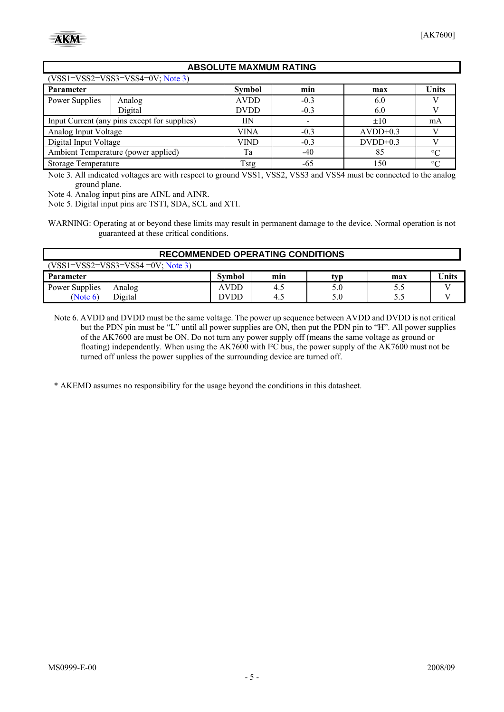#### **ABSOLUTE MAXMUM RATING**

<span id="page-4-0"></span>

| $(VSS1=VSS2=VSS3=VSS4=0V; Note 3)$           |         |               |        |            |              |  |
|----------------------------------------------|---------|---------------|--------|------------|--------------|--|
| Parameter                                    |         | <b>Symbol</b> | min    | max        | <b>Units</b> |  |
| Power Supplies                               | Analog  | <b>AVDD</b>   | $-0.3$ | 6.0        |              |  |
|                                              | Digital | <b>DVDD</b>   | $-0.3$ | 6.0        |              |  |
| Input Current (any pins except for supplies) |         | IΙN           |        | $\pm 10$   | mA           |  |
| Analog Input Voltage                         |         | VINA          | $-0.3$ | $AVDD+0.3$ |              |  |
| Digital Input Voltage                        |         | VIND          | $-0.3$ | $DVDD+0.3$ |              |  |
| Ambient Temperature (power applied)          |         | Ta            | $-40$  | 85         | $\circ$      |  |
| <b>Storage Temperature</b>                   |         | Tstg          | -65    | 150        | $\circ$      |  |

Note 3. All indicated voltages are with respect to ground VSS1, VSS2, VSS3 and VSS4 must be connected to the analog ground plane.

Note 4. Analog input pins are AINL and AINR.

Note 5. Digital input pins are TSTI, SDA, SCL and XTI.

WARNING: Operating at or beyond these limits may result in permanent damage to the device. Normal operation is not guaranteed at these critical conditions.

| <b>RECOMMENDED OPERATING CONDITIONS</b> |         |               |     |     |     |       |  |
|-----------------------------------------|---------|---------------|-----|-----|-----|-------|--|
| $(VSS1=VSS2=VSS3=VSS4=0V; Note 3)$      |         |               |     |     |     |       |  |
| Parameter                               |         | <b>Symbol</b> | mın | typ | max | Jnits |  |
| Power Supplies                          | Analog  | AVDD          | 4.5 | 5.0 |     |       |  |
| (Note 6)                                | Digital | )VDD          | 4.5 | 5.0 |     |       |  |

Note 6. AVDD and DVDD must be the same voltage. The power up sequence between AVDD and DVDD is not critical but the PDN pin must be "L" until all power supplies are ON, then put the PDN pin to "H". All power supplies of the AK7600 are must be ON. Do not turn any power supply off (means the same voltage as ground or floating) independently. When using the AK7600 with I²C bus, the power supply of the AK7600 must not be turned off unless the power supplies of the surrounding device are turned off.

\* AKEMD assumes no responsibility for the usage beyond the conditions in this datasheet.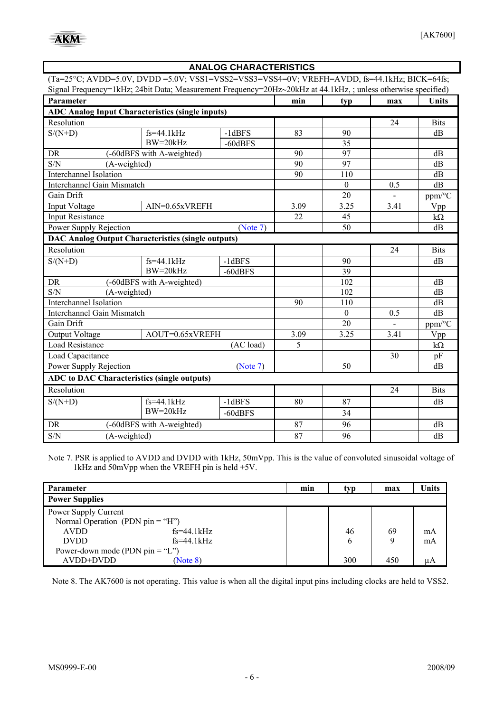<span id="page-5-0"></span> $\mathbf{r}$ 

| <b>ANALOG CHARACTERISTICS</b>                                                                                 |                           |              |          |                 |      |              |
|---------------------------------------------------------------------------------------------------------------|---------------------------|--------------|----------|-----------------|------|--------------|
| $(Ta=25^{\circ}C; AVDD=5.0V, DVD=5.0V; VSS1=VSS2=VSS3=VSS4=0V; VREFH=AVDD, fs=44.1kHz; BICK=64fs;$            |                           |              |          |                 |      |              |
| Signal Frequency=1kHz; 24bit Data; Measurement Frequency=20Hz~20kHz at 44.1kHz, ; unless otherwise specified) |                           |              |          |                 |      |              |
| Parameter                                                                                                     |                           |              | min      | typ             | max  | <b>Units</b> |
| <b>ADC Analog Input Characteristics (single inputs)</b>                                                       |                           |              |          |                 |      |              |
| Resolution                                                                                                    |                           |              |          |                 | 24   | <b>Bits</b>  |
| $S/(N+D)$                                                                                                     | $fs=44.1kHz$              | $-1dBFS$     | 83       | 90              |      | dB           |
|                                                                                                               | $BW = 20kHz$              | $-60$ dBFS   |          | $\overline{35}$ |      |              |
| <b>DR</b><br>S/N                                                                                              | (-60dBFS with A-weighted) |              | 90<br>90 | 97              |      | dB           |
| (A-weighted)<br>Interchannel Isolation                                                                        |                           |              | 90       | 97<br>110       |      | dB<br>dB     |
| Interchannel Gain Mismatch                                                                                    |                           |              |          | $\theta$        | 0.5  | dB           |
| Gain Drift                                                                                                    |                           |              |          | 20              |      | ppm/°C       |
| Input Voltage                                                                                                 | $AIN=0.65xVREFH$          |              | 3.09     | 3.25            | 3.41 | Vpp          |
| <b>Input Resistance</b>                                                                                       |                           |              | 22       | 45              |      | $k\Omega$    |
| Power Supply Rejection                                                                                        |                           | (Note 7)     |          | 50              |      | dB           |
| <b>DAC Analog Output Characteristics (single outputs)</b>                                                     |                           |              |          |                 |      |              |
| Resolution                                                                                                    |                           |              |          |                 | 24   | <b>Bits</b>  |
| $S/(N+D)$                                                                                                     | $fs=44.1kHz$              | $-1$ d $BFS$ |          | 90              |      | dB           |
|                                                                                                               | $BW=20kHz$                | $-60$ dBFS   |          | 39              |      |              |
| <b>DR</b>                                                                                                     | (-60dBFS with A-weighted) |              |          | 102             |      | dB           |
| S/N<br>(A-weighted)                                                                                           |                           |              |          | 102             |      | dB           |
| Interchannel Isolation                                                                                        |                           |              | 90       | 110             |      | dB           |
| Interchannel Gain Mismatch                                                                                    |                           |              |          | $\Omega$        | 0.5  | dB           |
| Gain Drift                                                                                                    |                           |              |          | 20              |      | ppm/°C       |
| Output Voltage                                                                                                | AOUT=0.65xVREFH           |              | 3.09     | 3.25            | 3.41 | Vpp          |
| <b>Load Resistance</b>                                                                                        |                           | (AC load)    | 5        |                 |      | $k\Omega$    |
| Load Capacitance                                                                                              |                           |              |          |                 | 30   | pF           |
| Power Supply Rejection<br>(Note 7)                                                                            |                           |              |          | 50              |      | dB           |
| <b>ADC</b> to DAC Characteristics (single outputs)                                                            |                           |              |          |                 |      |              |
| Resolution                                                                                                    |                           |              |          |                 | 24   | <b>Bits</b>  |
| $S/(N+D)$                                                                                                     | $fs = 44.1kHz$            | $-1$ d $BFS$ | 80       | 87              |      | dB           |
|                                                                                                               | $BW=20kHz$                | $-60$ dBFS   |          | 34              |      |              |
| DR                                                                                                            | (-60dBFS with A-weighted) |              | 87       | 96              |      | dB           |
| S/N<br>(A-weighted)                                                                                           |                           |              | 87       | 96              |      | dB           |

Note 7. PSR is applied to AVDD and DVDD with 1kHz, 50mVpp. This is the value of convoluted sinusoidal voltage of 1kHz and 50mVpp when the VREFH pin is held +5V.

| Parameter                         |              | min | typ | max | <b>Units</b> |
|-----------------------------------|--------------|-----|-----|-----|--------------|
| <b>Power Supplies</b>             |              |     |     |     |              |
| Power Supply Current              |              |     |     |     |              |
| Normal Operation (PDN pin = "H")  |              |     |     |     |              |
| <b>AVDD</b>                       | $fs=44.1kHz$ |     | 46  | 69  | mA           |
| <b>DVDD</b>                       | $fs=44.1kHz$ |     | b   |     | mA           |
| Power-down mode (PDN $pin = "L")$ |              |     |     |     |              |
| AVDD+DVDD                         | (Note 8)     |     | 300 | 450 | uА           |

Note 8. The AK7600 is not operating. This value is when all the digital input pins including clocks are held to VSS2.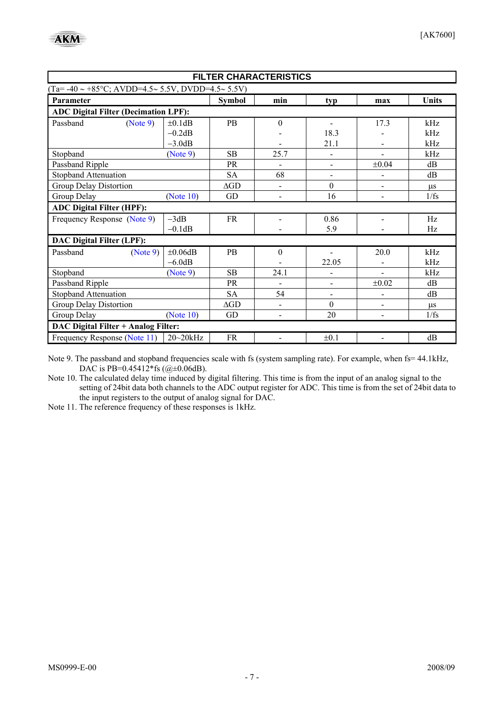<span id="page-6-0"></span>

| <b>FILTER CHARACTERISTICS</b>                                  |               |                    |                          |                |                          |              |
|----------------------------------------------------------------|---------------|--------------------|--------------------------|----------------|--------------------------|--------------|
| $(Ta= -40 \sim +85\degree C$ ; AVDD=4.5~ 5.5V, DVDD=4.5~ 5.5V) |               |                    |                          |                |                          |              |
| Parameter                                                      |               | <b>Symbol</b>      | min                      | typ            | max                      | <b>Units</b> |
| <b>ADC Digital Filter (Decimation LPF):</b>                    |               |                    |                          |                |                          |              |
| Passband<br>(Note 9)                                           | ±0.1dB        | <b>PB</b>          | $\boldsymbol{0}$         | $\blacksquare$ | 17.3                     | kHz          |
|                                                                | $-0.2dB$      |                    |                          | 18.3           |                          | kHz          |
|                                                                | $-3.0dB$      |                    |                          | 21.1           |                          | kHz          |
| Stopband                                                       | (Note 9)      | SB                 | 25.7                     |                |                          | kHz          |
| Passband Ripple                                                |               | <b>PR</b>          |                          |                | $\pm 0.04$               | dB           |
| Stopband Attenuation                                           |               | <b>SA</b>          | 68                       | $\blacksquare$ | $\overline{a}$           | dB           |
| <b>Group Delay Distortion</b>                                  |               | $\Delta GD$        | $\overline{a}$           | $\mathbf{0}$   | $\overline{\phantom{0}}$ | $\mu$ s      |
| Group Delay                                                    | (Note 10)     | GD                 | $\blacksquare$           | 16             | $\overline{\phantom{0}}$ | 1/fs         |
| <b>ADC Digital Filter (HPF):</b>                               |               |                    |                          |                |                          |              |
| Frequency Response (Note 9)                                    | $-3dB$        | <b>FR</b>          | $\blacksquare$           | 0.86           | $\overline{\phantom{0}}$ | Hz           |
|                                                                | $-0.1dB$      |                    |                          | 5.9            |                          | Hz           |
| <b>DAC Digital Filter (LPF):</b>                               |               |                    |                          |                |                          |              |
| Passband<br>(Note 9)                                           | $\pm 0.06$ dB | <b>PB</b>          | $\boldsymbol{0}$         |                | 20.0                     | kHz          |
|                                                                | $-6.0dB$      |                    |                          | 22.05          |                          | kHz          |
| Stopband                                                       | (Note 9)      | <b>SB</b>          | 24.1                     |                |                          | kHz          |
| Passband Ripple                                                |               | PR                 | $\overline{a}$           |                | $\pm 0.02$               | dB           |
| <b>Stopband Attenuation</b>                                    |               | <b>SA</b>          | 54                       |                |                          | dB           |
| Group Delay Distortion                                         |               | $\Delta \text{GD}$ | $\overline{\phantom{a}}$ | $\overline{0}$ | $\overline{\phantom{0}}$ | $\mu$ s      |
| Group Delay                                                    | (Note 10)     | <b>GD</b>          | $\blacksquare$           | 20             | $\blacksquare$           | 1/fs         |
| DAC Digital Filter + Analog Filter:                            |               |                    |                          |                |                          |              |
| Frequency Response (Note 11)                                   | $20 - 20$ kHz | <b>FR</b>          |                          | $\pm 0.1$      |                          | dB           |

Note 9. The passband and stopband frequencies scale with fs (system sampling rate). For example, when fs= 44.1kHz, DAC is PB=0.45412\*fs (@±0.06dB).

Note 10. The calculated delay time induced by digital filtering. This time is from the input of an analog signal to the setting of 24bit data both channels to the ADC output register for ADC. This time is from the set of 24bit data to the input registers to the output of analog signal for DAC.

Note 11. The reference frequency of these responses is 1kHz.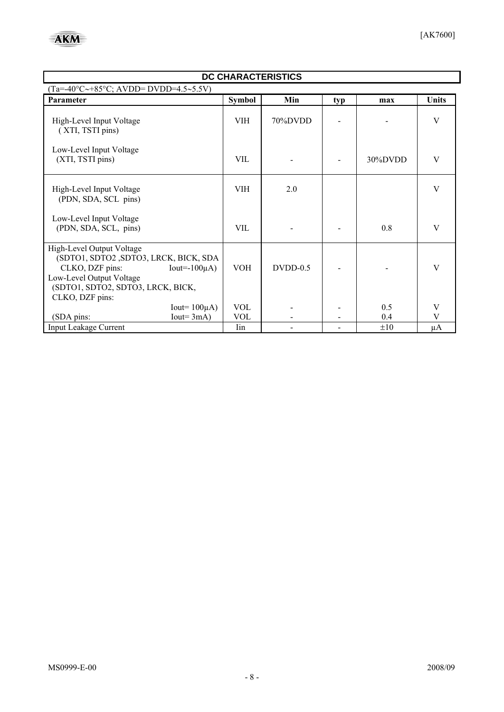| DC CHARACTERISTICS                                                                                                                                                        |                                                                   |                          |            |     |            |        |
|---------------------------------------------------------------------------------------------------------------------------------------------------------------------------|-------------------------------------------------------------------|--------------------------|------------|-----|------------|--------|
|                                                                                                                                                                           | $(Ta=-40^{\circ}C\rightarrow +85^{\circ}C$ ; AVDD= DVDD=4.5~5.5V) |                          |            |     |            |        |
| Parameter                                                                                                                                                                 |                                                                   | <b>Symbol</b>            | Min        | typ | max        | Units  |
| High-Level Input Voltage<br>(XTI, TSTI pins)                                                                                                                              |                                                                   | <b>VIH</b>               | 70%DVDD    |     |            | V      |
| Low-Level Input Voltage<br>(XTI, TSTI pins)                                                                                                                               |                                                                   | <b>VIL</b>               |            |     | 30%DVDD    | V      |
| High-Level Input Voltage<br>(PDN, SDA, SCL pins)                                                                                                                          |                                                                   | VIH                      | 2.0        |     |            | V      |
| Low-Level Input Voltage<br>(PDN, SDA, SCL, pins)                                                                                                                          |                                                                   | <b>VIL</b>               |            |     | 0.8        | V      |
| High-Level Output Voltage<br>(SDTO1, SDTO2, SDTO3, LRCK, BICK, SDA<br>CLKO, DZF pins:<br>Low-Level Output Voltage<br>(SDTO1, SDTO2, SDTO3, LRCK, BICK,<br>CLKO, DZF pins: | Iout= $-100\mu$ A)                                                | <b>VOH</b>               | $DVDD-0.5$ |     |            | V      |
|                                                                                                                                                                           | Iout= $100\mu$ A)<br>$Iout=3mA)$                                  | <b>VOL</b><br><b>VOL</b> |            |     | 0.5<br>0.4 | V<br>V |
| (SDA pins:<br><b>Input Leakage Current</b>                                                                                                                                |                                                                   | Iin                      |            |     | $\pm 10$   | μA     |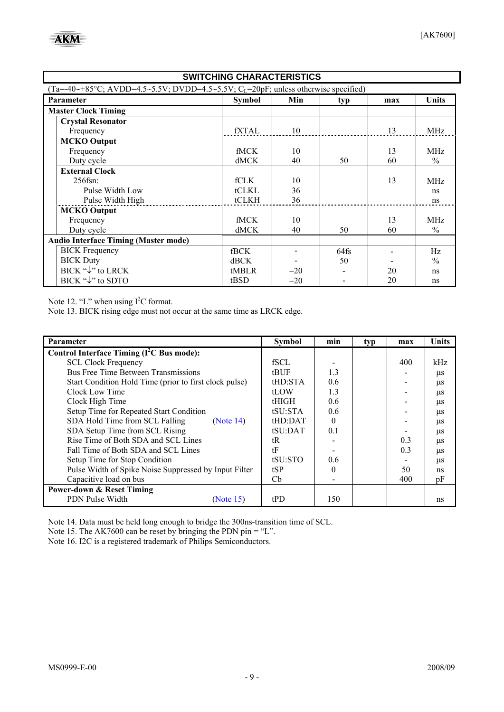<span id="page-8-0"></span>

| <b>SWITCHING CHARACTERISTICS</b>              |                                                                                                              |       |      |     |                 |  |  |
|-----------------------------------------------|--------------------------------------------------------------------------------------------------------------|-------|------|-----|-----------------|--|--|
|                                               | $(Ta=-40\rightarrow +85\degree C; AVDD=4.5\sim 5.5V; DVD=4.5\sim 5.5V; CL=20pF; unless otherwise specified)$ |       |      |     |                 |  |  |
| Parameter                                     | <b>Symbol</b>                                                                                                | Min   | typ  | max | <b>Units</b>    |  |  |
| <b>Master Clock Timing</b>                    |                                                                                                              |       |      |     |                 |  |  |
| <b>Crystal Resonator</b>                      |                                                                                                              |       |      |     |                 |  |  |
| Frequency                                     | fXTAL                                                                                                        | 10    |      | 13  | MHz             |  |  |
| <b>MCKO</b> Output                            |                                                                                                              |       |      |     |                 |  |  |
| Frequency                                     | <b>fMCK</b>                                                                                                  | 10    |      | 13  | <b>MHz</b>      |  |  |
| Duty cycle                                    | dMCK                                                                                                         | 40    | 50   | 60  | $\frac{0}{0}$   |  |  |
| <b>External Clock</b>                         |                                                                                                              |       |      |     |                 |  |  |
| $256$ fsn:                                    | fCLK                                                                                                         | 10    |      | 13  | MH <sub>z</sub> |  |  |
| Pulse Width Low                               | tCLKL                                                                                                        | 36    |      |     | ns              |  |  |
| Pulse Width High                              | tCLKH                                                                                                        | 36    |      |     | ns              |  |  |
| <b>MCKO</b> Output                            |                                                                                                              |       |      |     |                 |  |  |
| Frequency                                     | <b>fMCK</b>                                                                                                  | 10    |      | 13  | <b>MHz</b>      |  |  |
| Duty cycle                                    | dMCK                                                                                                         | 40    | 50   | 60  | $\frac{0}{0}$   |  |  |
| <b>Audio Interface Timing (Master mode)</b>   |                                                                                                              |       |      |     |                 |  |  |
| <b>BICK</b> Frequency                         | <b>fBCK</b>                                                                                                  |       | 64fs |     | Hz              |  |  |
| <b>BICK Duty</b>                              | dBCK                                                                                                         |       | 50   |     | $\frac{0}{0}$   |  |  |
| BICK "↓" to LRCK                              | tMBLR                                                                                                        | $-20$ |      | 20  | ns              |  |  |
| $BICK \overset{\alpha}{\downarrow}$ " to SDTO | tBSD                                                                                                         | $-20$ |      | 20  | ns              |  |  |

Note 12. "L" when using  $I<sup>2</sup>C$  format.

Note 13. BICK rising edge must not occur at the same time as LRCK edge.

| Parameter                                              | <b>Symbol</b> | min      | typ | max | <b>Units</b> |
|--------------------------------------------------------|---------------|----------|-----|-----|--------------|
| Control Interface Timing $(I2C$ Bus mode):             |               |          |     |     |              |
| <b>SCL Clock Frequency</b>                             | fSCL          |          |     | 400 | kHz          |
| <b>Bus Free Time Between Transmissions</b>             | tBUF          | 1.3      |     |     | $\mu$ s      |
| Start Condition Hold Time (prior to first clock pulse) | tHD:STA       | 0.6      |     |     | $\mu$ s      |
| Clock Low Time                                         | tLOW          | 1.3      |     |     | $\mu$ s      |
| Clock High Time                                        | tHIGH         | 0.6      |     |     | $\mu$ s      |
| Setup Time for Repeated Start Condition                | tSU:STA       | 0.6      |     |     | $\mu$ s      |
| SDA Hold Time from SCL Falling<br>(Note 14)            | tHD:DAT       | $\Omega$ |     |     | $\mu$ s      |
| SDA Setup Time from SCL Rising                         | $t$ SU:DAT    | 0.1      |     |     | $\mu$ s      |
| Rise Time of Both SDA and SCL Lines                    | tR            |          |     | 0.3 | $\mu$ s      |
| Fall Time of Both SDA and SCL Lines                    | tF            |          |     | 0.3 | $\mu$ s      |
| Setup Time for Stop Condition                          | tSU:STO       | 0.6      |     |     | $\mu$ s      |
| Pulse Width of Spike Noise Suppressed by Input Filter  | tSP           | $\Omega$ |     | 50  | ns           |
| Capacitive load on bus                                 | Cb            |          |     | 400 | pF           |
| <b>Power-down &amp; Reset Timing</b>                   |               |          |     |     |              |
| PDN Pulse Width<br>(Note 15)                           | tPD           | 150      |     |     | ns           |

Note 14. Data must be held long enough to bridge the 300ns-transition time of SCL.

Note 15. The AK7600 can be reset by bringing the PDN pin = "L".

Note 16. I2C is a registered trademark of Philips Semiconductors.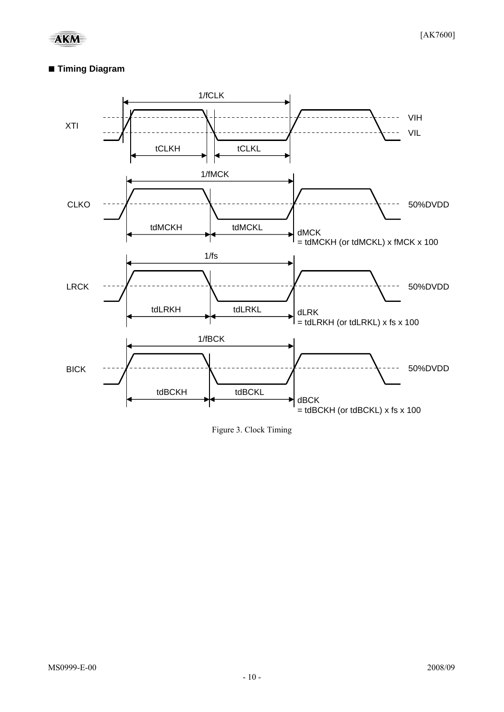#### **■ Timing Diagram**



Figure 3. Clock Timing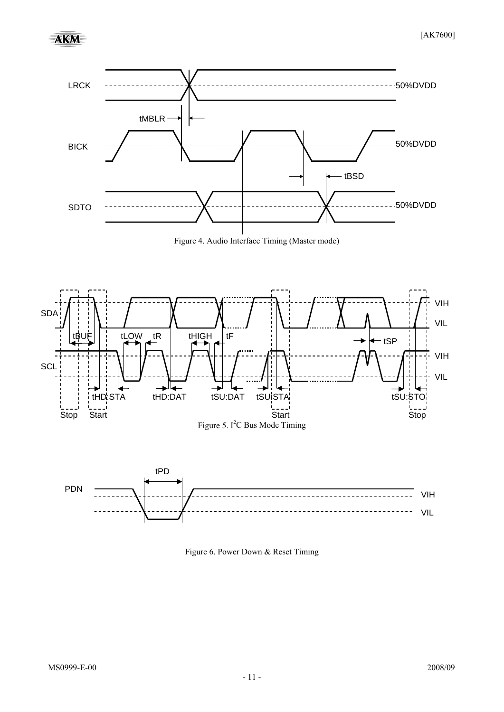

Figure 4. Audio Interface Timing (Master mode)



Figure 6. Power Down & Reset Timing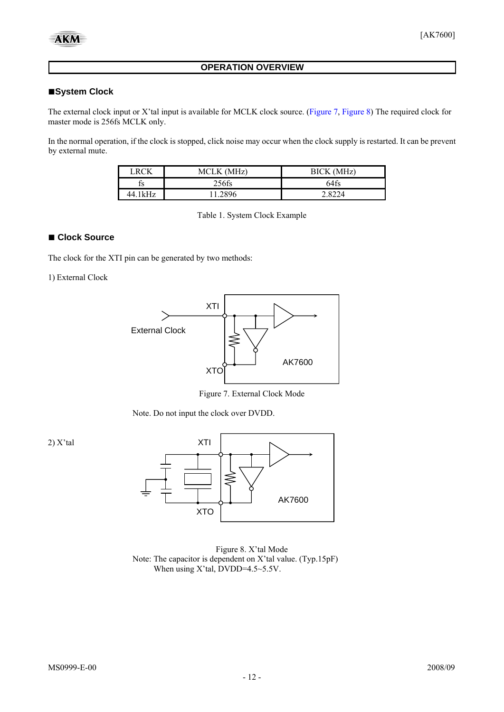#### **OPERATION OVERVIEW**

#### <span id="page-11-0"></span>**■System Clock**

The external clock input or X'tal input is available for MCLK clock source. ([Figure 7](#page-11-0), [Figure 8\)](#page-11-0) The required clock for master mode is 256fs MCLK only.

In the normal operation, if the clock is stopped, click noise may occur when the clock supply is restarted. It can be prevent by external mute.

| . RCV    | <b>MCLK</b><br>(MH <sub>2</sub> ) | <b>BICK</b><br>(MHz) |
|----------|-----------------------------------|----------------------|
| İS       | $256$ fs                          | 64fs                 |
| 14 11⁄H7 |                                   |                      |

Table 1. System Clock Example

#### **■ Clock Source**

The clock for the XTI pin can be generated by two methods:

1) External Clock



Figure 7. External Clock Mode

Note. Do not input the clock over DVDD.



Figure 8. X'tal Mode Note: The capacitor is dependent on X'tal value. (Typ.15pF) When using X'tal, DVDD=4.5~5.5V.

2) X'tal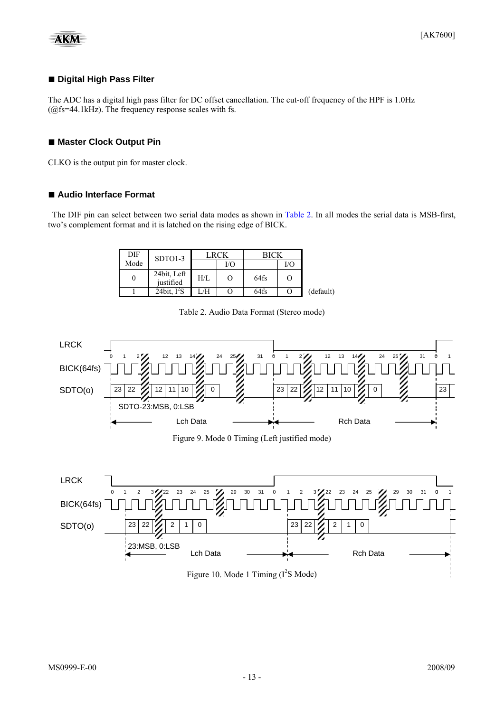<span id="page-12-0"></span>
$$
\mathbf{AKM}
$$

#### **■ Digital High Pass Filter**

The ADC has a digital high pass filter for DC offset cancellation. The cut-off frequency of the HPF is 1.0Hz  $(Qf<sub>S</sub>=44.1kHz)$ . The frequency response scales with fs.

#### ■ Master Clock Output Pin

CLKO is the output pin for master clock.

#### ■ Audio Interface Format

The DIF pin can select between two serial data modes as shown in [Table 2](#page-12-0). In all modes the serial data is MSB-first, two's complement format and it is latched on the rising edge of BICK.

| DIF  | $SDTO1-3$                |     | LRCK | <b>BICK</b> |     |           |
|------|--------------------------|-----|------|-------------|-----|-----------|
| Mode |                          |     | I/C  |             | I/O |           |
|      | 24bit, Left<br>justified | H/L | O    | 64fs        |     |           |
|      | 24bit, $I^2S$            | /H  |      | 64fs        |     | (default) |





Figure 10. Mode 1 Timing  $(I^2S \text{ Mode})$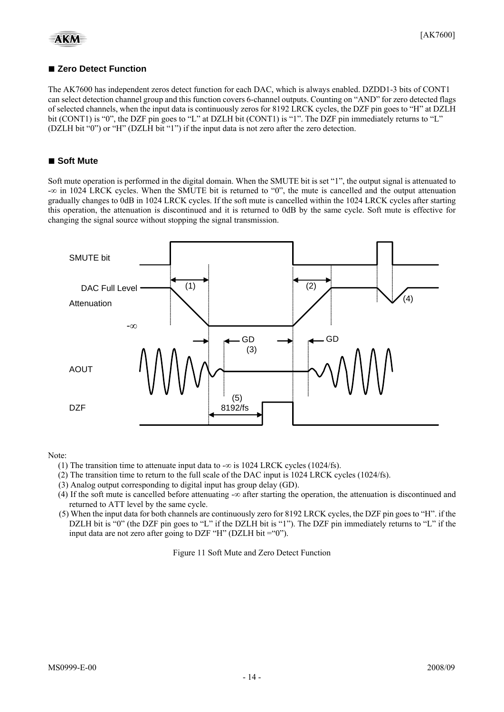#### ■ Zero Detect Function

The AK7600 has independent zeros detect function for each DAC, which is always enabled. DZDD1-3 bits of CONT1 can select detection channel group and this function covers 6-channel outputs. Counting on "AND" for zero detected flags of selected channels, when the input data is continuously zeros for 8192 LRCK cycles, the DZF pin goes to "H" at DZLH bit (CONT1) is "0", the DZF pin goes to "L" at DZLH bit (CONT1) is "1". The DZF pin immediately returns to "L" (DZLH bit "0") or "H" (DZLH bit "1") if the input data is not zero after the zero detection.

#### **■ Soft Mute**

Soft mute operation is performed in the digital domain. When the SMUTE bit is set "1", the output signal is attenuated to -∞ in 1024 LRCK cycles. When the SMUTE bit is returned to "0", the mute is cancelled and the output attenuation gradually changes to 0dB in 1024 LRCK cycles. If the soft mute is cancelled within the 1024 LRCK cycles after starting this operation, the attenuation is discontinued and it is returned to 0dB by the same cycle. Soft mute is effective for changing the signal source without stopping the signal transmission.



Note:

- (1) The transition time to attenuate input data to - $\infty$  is 1024 LRCK cycles (1024/fs).
- (2) The transition time to return to the full scale of the DAC input is 1024 LRCK cycles (1024/fs).
- (3) Analog output corresponding to digital input has group delay (GD).
- (4) If the soft mute is cancelled before attenuating -∞ after starting the operation, the attenuation is discontinued and returned to ATT level by the same cycle.
- (5) When the input data for both channels are continuously zero for 8192 LRCK cycles, the DZF pin goes to "H". if the DZLH bit is "0" (the DZF pin goes to "L" if the DZLH bit is "1"). The DZF pin immediately returns to "L" if the input data are not zero after going to DZF "H" (DZLH bit  $=$ "0").

Figure 11 Soft Mute and Zero Detect Function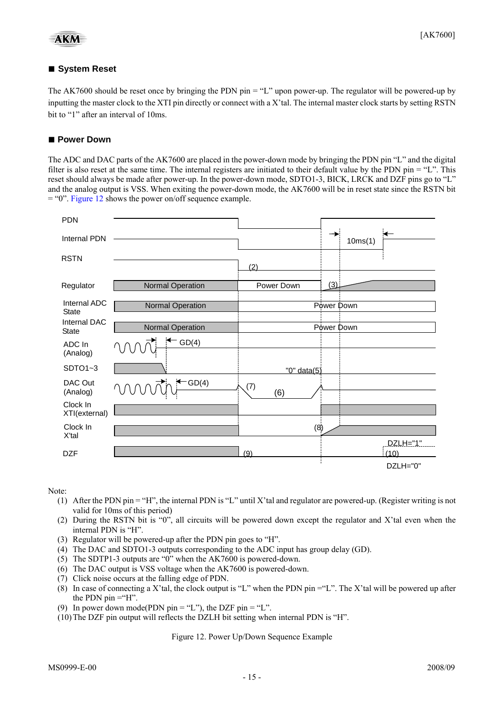#### <span id="page-14-0"></span>**■ System Reset**

The AK7600 should be reset once by bringing the PDN pin = "L" upon power-up. The regulator will be powered-up by inputting the master clock to the XTI pin directly or connect with a X'tal. The internal master clock starts by setting RSTN bit to "1" after an interval of 10ms.

#### ■ Power Down

The ADC and DAC parts of the AK7600 are placed in the power-down mode by bringing the PDN pin "L" and the digital filter is also reset at the same time. The internal registers are initiated to their default value by the PDN pin = "L". This reset should always be made after power-up. In the power-down mode, SDTO1-3, BICK, LRCK and DZF pins go to "L" and the analog output is VSS. When exiting the power-down mode, the AK7600 will be in reset state since the RSTN bit = "0". [Figure 12](#page-14-0) shows the power on/off sequence example.



Note:

- (1) After the PDN pin  $=$  "H", the internal PDN is "L" until X'tal and regulator are powered-up. (Register writing is not valid for 10ms of this period)
- (2) During the RSTN bit is "0", all circuits will be powered down except the regulator and X'tal even when the internal PDN is "H".
- (3) Regulator will be powered-up after the PDN pin goes to "H".
- (4) The DAC and SDTO1-3 outputs corresponding to the ADC input has group delay (GD).
- (5) The SDTP1-3 outputs are "0" when the AK7600 is powered-down.
- (6) The DAC output is VSS voltage when the AK7600 is powered-down.
- (7) Click noise occurs at the falling edge of PDN.
- (8) In case of connecting a X'tal, the clock output is "L" when the PDN pin  $=$ "L". The X'tal will be powered up after the PDN pin  $=$ "H".
- (9) In power down mode(PDN pin = "L"), the DZF pin = "L".
- (10)The DZF pin output will reflects the DZLH bit setting when internal PDN is "H".

Figure 12. Power Up/Down Sequence Example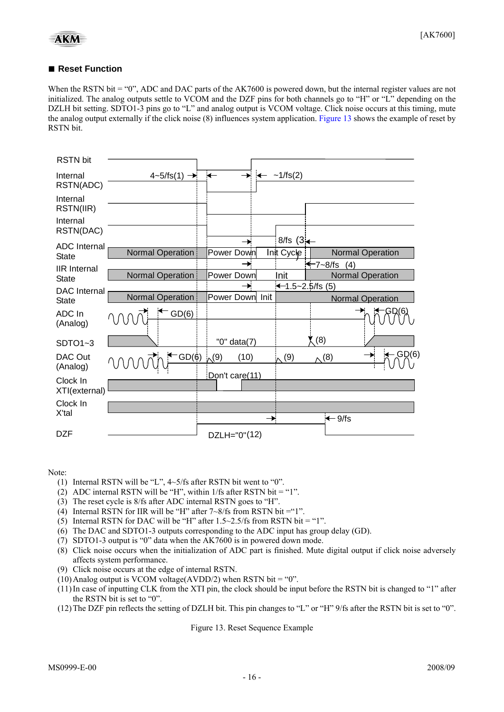#### <span id="page-15-0"></span>■ **Reset Function**

When the RSTN bit = "0", ADC and DAC parts of the AK7600 is powered down, but the internal register values are not initialized. The analog outputs settle to VCOM and the DZF pins for both channels go to "H" or "L" depending on the DZLH bit setting. SDTO1-3 pins go to "L" and analog output is VCOM voltage. Click noise occurs at this timing, mute the analog output externally if the click noise (8) influences system application. [Figure 13](#page-15-0) shows the example of reset by RSTN bit.

| RSTN bit                  |                                |                    |                      |                   |                         |
|---------------------------|--------------------------------|--------------------|----------------------|-------------------|-------------------------|
| Internal<br>RSTN(ADC)     | $4-5/\text{fs}(1) \rightarrow$ | $\leftarrow$       | $-1/fs(2)$           |                   |                         |
| Internal<br>RSTN(IIR)     |                                |                    |                      |                   |                         |
| Internal<br>RSTN(DAC)     |                                |                    |                      |                   |                         |
| <b>ADC</b> Internal       |                                |                    | 8/fs $(3 - )$        |                   |                         |
| <b>State</b>              | Normal Operation               | Power Down         | Init Cycle           |                   | <b>Normal Operation</b> |
| <b>IIR</b> Internal       |                                |                    |                      | $47 - 8$ /fs (4)  |                         |
| <b>State</b>              | Normal Operation               | Power Down         | Init                 |                   | <b>Normal Operation</b> |
| DAC Internal              |                                | $\rightarrow$      | $-1.5 - 2.5$ /fs (5) |                   |                         |
| <b>State</b>              | <b>Normal Operation</b>        | Power Down Init    |                      |                   | <b>Normal Operation</b> |
| ADC In<br>(Analog)        | GD(6)                          |                    |                      |                   |                         |
| SDTO1~3                   |                                | "0" data(7)        |                      | (8)               |                         |
| DAC Out<br>(Analog)       | GD(6)                          | (10)<br>$\sqrt{9}$ | (9)                  | $\wedge^{(8)}$    | $\leftarrow$ GD(6)      |
| Clock In<br>XTI(external) |                                | Don't care(11)     |                      |                   |                         |
| Clock In                  |                                |                    |                      |                   |                         |
| X'tal                     |                                |                    | $\rightarrow$        | $\leftarrow$ 9/fs |                         |
| <b>DZF</b>                |                                | DZLH="0"(12)       |                      |                   |                         |

#### Note:

- (1) Internal RSTN will be "L", 4~5/fs after RSTN bit went to "0".
- (2) ADC internal RSTN will be "H", within  $1/fs$  after RSTN bit = "1".
- (3) The reset cycle is 8/fs after ADC internal RSTN goes to "H".
- (4) Internal RSTN for IIR will be "H" after  $7~8/fs$  from RSTN bit = "1".
- (5) Internal RSTN for DAC will be "H" after  $1.5 \sim 2.5$ /fs from RSTN bit = "1".
- (6) The DAC and SDTO1-3 outputs corresponding to the ADC input has group delay (GD).
- (7) SDTO1-3 output is "0" data when the AK7600 is in powered down mode.
- (8) Click noise occurs when the initialization of ADC part is finished. Mute digital output if click noise adversely affects system performance.
- (9) Click noise occurs at the edge of internal RSTN.
- (10) Analog output is VCOM voltage(AVDD/2) when RSTN bit = "0".
- (11)In case of inputting CLK from the XTI pin, the clock should be input before the RSTN bit is changed to "1" after the RSTN bit is set to "0".
- (12)The DZF pin reflects the setting of DZLH bit. This pin changes to "L" or "H" 9/fs after the RSTN bit is set to "0".

Figure 13. Reset Sequence Example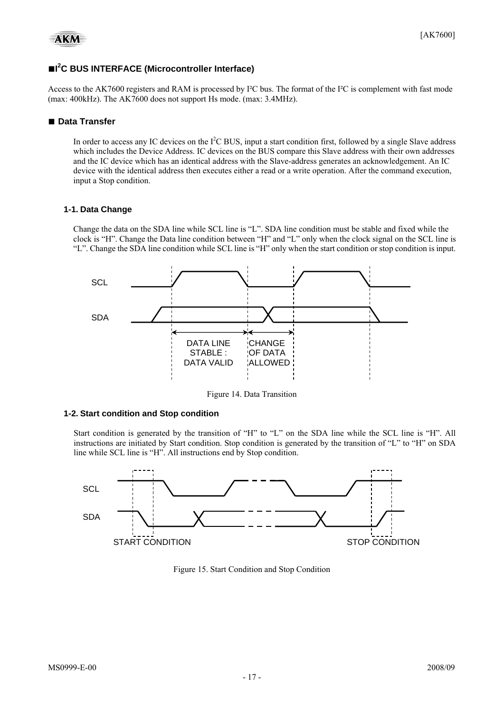#### **■I 2 C BUS INTERFACE (Microcontroller Interface)**

Access to the AK7600 registers and RAM is processed by I²C bus. The format of the I²C is complement with fast mode (max: 400kHz). The AK7600 does not support Hs mode. (max: 3.4MHz).

#### **■ Data Transfer**

In order to access any IC devices on the  $I^2C$  BUS, input a start condition first, followed by a single Slave address which includes the Device Address. IC devices on the BUS compare this Slave address with their own addresses and the IC device which has an identical address with the Slave-address generates an acknowledgement. An IC device with the identical address then executes either a read or a write operation. After the command execution, input a Stop condition.

#### **1-1. Data Change**

Change the data on the SDA line while SCL line is "L". SDA line condition must be stable and fixed while the clock is "H". Change the Data line condition between "H" and "L" only when the clock signal on the SCL line is "L". Change the SDA line condition while SCL line is "H" only when the start condition or stop condition is input.



Figure 14. Data Transition

#### **1-2. Start condition and Stop condition**

Start condition is generated by the transition of "H" to "L" on the SDA line while the SCL line is "H". All instructions are initiated by Start condition. Stop condition is generated by the transition of "L" to "H" on SDA line while SCL line is "H". All instructions end by Stop condition.



Figure 15. Start Condition and Stop Condition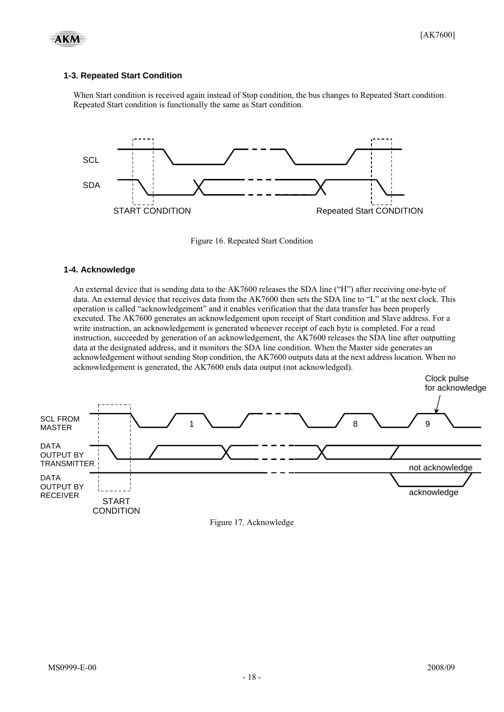

#### **1-3. Repeated Start Condition**

When Start condition is received again instead of Stop condition, the bus changes to Repeated Start condition. Repeated Start condition is functionally the same as Start condition.



Figure 16. Repeated Start Condition

#### **1-4. Acknowledge**

An external device that is sending data to the AK7600 releases the SDA line ("H") after receiving one-byte of data. An external device that receives data from the AK7600 then sets the SDA line to "L" at the next clock. This operation is called "acknowledgement" and it enables verification that the data transfer has been properly executed. The AK7600 generates an acknowledgement upon receipt of Start condition and Slave address. For a write instruction, an acknowledgement is generated whenever receipt of each byte is completed. For a read instruction, succeeded by generation of an acknowledgement, the AK7600 releases the SDA line after outputting data at the designated address, and it monitors the SDA line condition. When the Master side generates an acknowledgement without sending Stop condition, the AK7600 outputs data at the next address location. When no acknowledgement is generated, the AK7600 ends data output (not acknowledged).





Clock pulse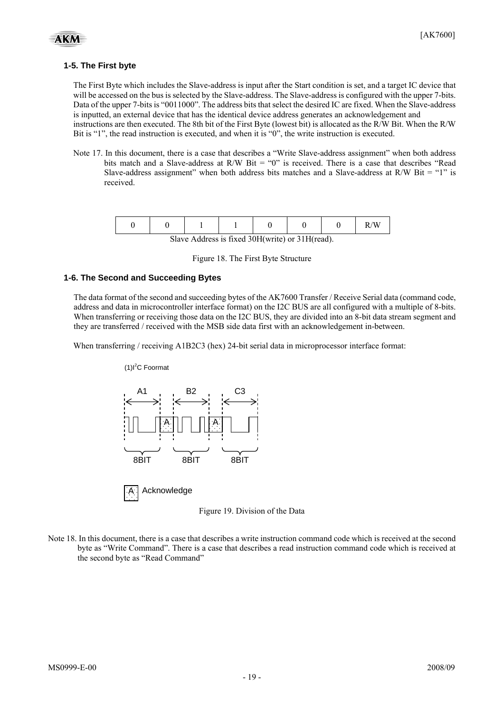#### **1-5. The First byte**

The First Byte which includes the Slave-address is input after the Start condition is set, and a target IC device that will be accessed on the bus is selected by the Slave-address. The Slave-address is configured with the upper 7-bits. Data of the upper 7-bits is "0011000". The address bits that select the desired IC are fixed. When the Slave-address is inputted, an external device that has the identical device address generates an acknowledgement and instructions are then executed. The 8th bit of the First Byte (lowest bit) is allocated as the R/W Bit. When the R/W Bit is "1", the read instruction is executed, and when it is "0", the write instruction is executed.

Note 17. In this document, there is a case that describes a "Write Slave-address assignment" when both address bits match and a Slave-address at R/W Bit = "0" is received. There is a case that describes "Read Slave-address assignment" when both address bits matches and a Slave-address at R/W Bit  $=$  "1" is received.

|                                                 |  |  |  |  |  |  | R/W |
|-------------------------------------------------|--|--|--|--|--|--|-----|
| Slave Address is fixed 30H(write) or 31H(read). |  |  |  |  |  |  |     |

|  |  | Figure 18. The First Byte Structure |
|--|--|-------------------------------------|
|  |  |                                     |

#### **1-6. The Second and Succeeding Bytes**

 $(1)$ l<sup>2</sup>C Foormat

The data format of the second and succeeding bytes of the AK7600 Transfer / Receive Serial data (command code, address and data in microcontroller interface format) on the I2C BUS are all configured with a multiple of 8-bits. When transferring or receiving those data on the I2C BUS, they are divided into an 8-bit data stream segment and they are transferred / received with the MSB side data first with an acknowledgement in-between.

When transferring / receiving A1B2C3 (hex) 24-bit serial data in microprocessor interface format:



**Acknowledge** 

Figure 19. Division of the Data

Note 18. In this document, there is a case that describes a write instruction command code which is received at the second byte as "Write Command". There is a case that describes a read instruction command code which is received at the second byte as "Read Command"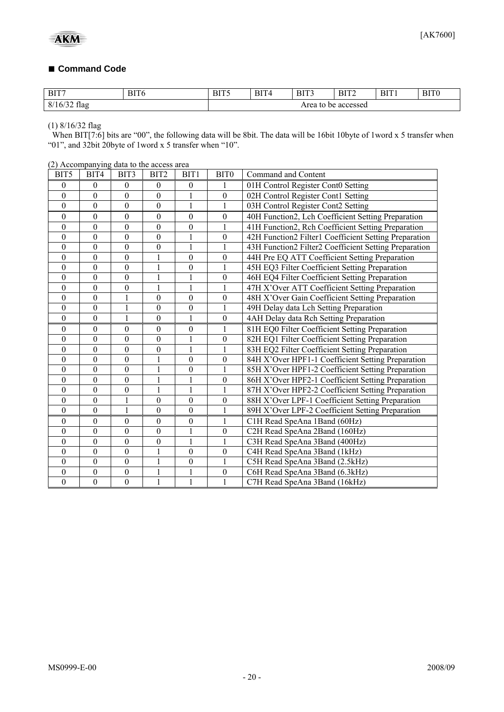#### **■ Command Code**

| BIT7        | D <sub>IT</sub><br>41 V<br>the contract of the contract of the contract of | $\mathbf{D} \mathbf{I} \mathbf{T} \mathbf{C}$<br>$\sim$ | <b>BIT</b> | BIT3<br>______ | <b>DID</b><br>н | <b>BIT</b> | <b>DIDC</b><br>. 1 ( |
|-------------|----------------------------------------------------------------------------|---------------------------------------------------------|------------|----------------|-----------------|------------|----------------------|
| 8/7<br>11ap |                                                                            |                                                         |            | Area to<br>ne  | accessed        |            |                      |

(1) 8/16/32 flag

When BIT[7:6] bits are "00", the following data will be 8bit. The data will be 16bit 10byte of 1word x 5 transfer when "01", and 32bit 20byte of 1word x 5 transfer when "10".

(2) Accompanying data to the access area

| BIT5             | BIT4             | BIT3             | BIT <sub>2</sub> | BIT <sub>1</sub> | BIT0             | Command and Content                                   |
|------------------|------------------|------------------|------------------|------------------|------------------|-------------------------------------------------------|
| $\mathbf{0}$     | $\boldsymbol{0}$ | 0                | $\theta$         | $\theta$         | 1                | 01H Control Register Cont0 Setting                    |
| $\theta$         | $\mathbf{0}$     | $\overline{0}$   | $\mathbf{0}$     |                  | $\boldsymbol{0}$ | 02H Control Register Cont1 Setting                    |
| $\boldsymbol{0}$ | $\boldsymbol{0}$ | $\boldsymbol{0}$ | $\boldsymbol{0}$ | 1                | 1                | 03H Control Register Cont2 Setting                    |
| $\theta$         | $\mathbf{0}$     | $\mathbf{0}$     | $\overline{0}$   | $\mathbf{0}$     | $\boldsymbol{0}$ | 40H Function2, Lch Coefficient Setting Preparation    |
| $\theta$         | $\theta$         | $\theta$         | $\overline{0}$   | $\boldsymbol{0}$ |                  | 41H Function2, Rch Coefficient Setting Preparation    |
| $\boldsymbol{0}$ | $\mathbf{0}$     | $\overline{0}$   | $\overline{0}$   |                  | $\boldsymbol{0}$ | 42H Function2 Filter1 Coefficient Setting Preparation |
| $\boldsymbol{0}$ | $\boldsymbol{0}$ | $\mathbf{0}$     | $\boldsymbol{0}$ | 1                |                  | 43H Function2 Filter2 Coefficient Setting Preparation |
| $\boldsymbol{0}$ | $\boldsymbol{0}$ | $\boldsymbol{0}$ | 1                | $\boldsymbol{0}$ | $\boldsymbol{0}$ | 44H Pre EQ ATT Coefficient Setting Preparation        |
| $\boldsymbol{0}$ | $\mathbf{0}$     | $\overline{0}$   | $\mathbf{1}$     | $\boldsymbol{0}$ | 1                | 45H EQ3 Filter Coefficient Setting Preparation        |
| $\boldsymbol{0}$ | $\boldsymbol{0}$ | $\boldsymbol{0}$ | 1                |                  | $\boldsymbol{0}$ | 46H EQ4 Filter Coefficient Setting Preparation        |
| $\theta$         | $\theta$         | $\overline{0}$   | $\mathbf{1}$     | 1                | 1                | 47H X'Over ATT Coefficient Setting Preparation        |
| $\boldsymbol{0}$ | $\boldsymbol{0}$ |                  | $\boldsymbol{0}$ | $\boldsymbol{0}$ | $\boldsymbol{0}$ | 48H X'Over Gain Coefficient Setting Preparation       |
| $\boldsymbol{0}$ | $\boldsymbol{0}$ | 1                | $\boldsymbol{0}$ | $\boldsymbol{0}$ | 1                | 49H Delay data Lch Setting Preparation                |
| $\mathbf{0}$     | $\overline{0}$   | 1                | $\boldsymbol{0}$ | 1                | $\boldsymbol{0}$ | 4AH Delay data Rch Setting Preparation                |
| $\boldsymbol{0}$ | $\boldsymbol{0}$ | $\boldsymbol{0}$ | $\boldsymbol{0}$ | $\boldsymbol{0}$ | 1                | 81H EQ0 Filter Coefficient Setting Preparation        |
| $\mathbf{0}$     | $\mathbf{0}$     | $\overline{0}$   | $\overline{0}$   | 1                | $\boldsymbol{0}$ | 82H EQ1 Filter Coefficient Setting Preparation        |
| $\boldsymbol{0}$ | $\boldsymbol{0}$ | $\boldsymbol{0}$ | $\boldsymbol{0}$ | 1                | 1                | 83H EQ2 Filter Coefficient Setting Preparation        |
| $\boldsymbol{0}$ | $\overline{0}$   | $\overline{0}$   | 1                | $\boldsymbol{0}$ | $\boldsymbol{0}$ | 84H X'Over HPF1-1 Coefficient Setting Preparation     |
| $\boldsymbol{0}$ | $\boldsymbol{0}$ | $\boldsymbol{0}$ | $\mathbf{1}$     | $\mathbf{0}$     |                  | 85H X'Over HPF1-2 Coefficient Setting Preparation     |
| $\boldsymbol{0}$ | $\theta$         | $\overline{0}$   | 1                | 1                | $\boldsymbol{0}$ | 86H X'Over HPF2-1 Coefficient Setting Preparation     |
| $\boldsymbol{0}$ | $\boldsymbol{0}$ | $\boldsymbol{0}$ | $\mathbf{1}$     | 1                | 1                | 87H X'Over HPF2-2 Coefficient Setting Preparation     |
| $\boldsymbol{0}$ | $\theta$         | 1                | $\mathbf{0}$     | $\mathbf{0}$     | $\boldsymbol{0}$ | 88H X'Over LPF-1 Coefficient Setting Preparation      |
| $\boldsymbol{0}$ | $\overline{0}$   | 1                | $\mathbf{0}$     | $\overline{0}$   | 1                | 89H X'Over LPF-2 Coefficient Setting Preparation      |
| 0                | $\theta$         | $\boldsymbol{0}$ | $\boldsymbol{0}$ | $\boldsymbol{0}$ |                  | C1H Read SpeAna 1Band (60Hz)                          |
| $\boldsymbol{0}$ | $\mathbf{0}$     | $\mathbf{0}$     | $\boldsymbol{0}$ | 1                | $\boldsymbol{0}$ | C2H Read SpeAna 2Band (160Hz)                         |
| $\boldsymbol{0}$ | $\boldsymbol{0}$ | $\boldsymbol{0}$ | $\boldsymbol{0}$ | $\mathbf{1}$     |                  | C3H Read SpeAna 3Band (400Hz)                         |
| $\boldsymbol{0}$ | $\boldsymbol{0}$ | $\mathbf{0}$     | 1                | $\boldsymbol{0}$ | $\boldsymbol{0}$ | C4H Read SpeAna 3Band (1kHz)                          |
| $\theta$         | $\mathbf{0}$     | $\mathbf{0}$     | $\mathbf{1}$     | $\boldsymbol{0}$ | 1                | C5H Read SpeAna 3Band (2.5kHz)                        |
| $\theta$         | $\theta$         | $\mathbf{0}$     | 1                | 1                | $\boldsymbol{0}$ | C6H Read SpeAna 3Band (6.3kHz)                        |
| $\boldsymbol{0}$ | $\mathbf{0}$     | $\mathbf{0}$     | $\mathbf{1}$     | $\mathbf{1}$     | $\mathbf{1}$     | C7H Read SpeAna 3Band (16kHz)                         |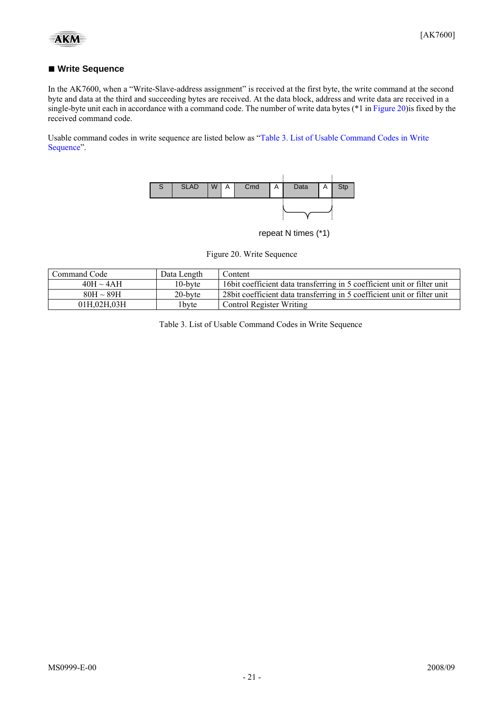#### <span id="page-20-0"></span>■ Write Sequence

In the AK7600, when a "Write-Slave-address assignment" is received at the first byte, the write command at the second byte and data at the third and succeeding bytes are received. At the data block, address and write data are received in a single-byte unit each in accordance with a command code. The number of write data bytes (\*1 in [Figure 20](#page-20-0)) is fixed by the received command code.

Usable command codes in write sequence are listed below as "[Table 3. List of Usable Command Codes in Write](#page-20-0)  [Sequence](#page-20-0)".



repeat N times (\*1)

Figure 20. Write Sequence

| Command Code   | Data Length       | Content                                                                   |
|----------------|-------------------|---------------------------------------------------------------------------|
| $40H \sim 4AH$ | $10$ -byte        | 16 bit coefficient data transferring in 5 coefficient unit or filter unit |
| $80H \sim 89H$ | 20-byte           | 28 bit coefficient data transferring in 5 coefficient unit or filter unit |
| 01H.02H.03H    | 1 <sub>bvte</sub> | <b>Control Register Writing</b>                                           |

Table 3. List of Usable Command Codes in Write Sequence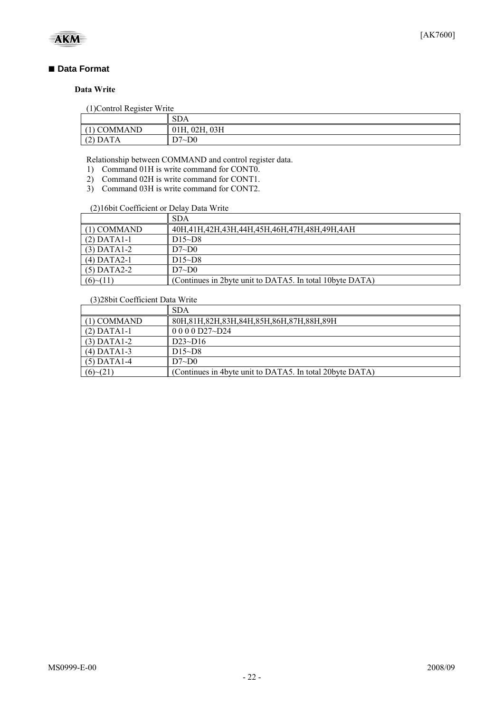

#### ■ Data Format

#### **Data Write**

(1)Control Register Write

|                   | $\sim$ $\sim$<br>5DA |
|-------------------|----------------------|
| <b>COMMAND</b>    | 03H<br>02H,<br>01H.  |
| <b>DATA</b><br>ॱ∸ | $7-D0$<br>D.7        |

Relationship between COMMAND and control register data.

- 1) Command 01H is write command for CONT0.
- 2) Command 02H is write command for CONT1.
- 3) Command 03H is write command for CONT2.

#### (2)16bit Coefficient or Delay Data Write

|               | <b>SDA</b>                                               |
|---------------|----------------------------------------------------------|
| $(1)$ COMMAND | 40H,41H,42H,43H,44H,45H,46H,47H,48H,49H,4AH              |
| $(2)$ DATA1-1 | $DI5-D8$                                                 |
| $(3)$ DATA1-2 | D7~D0                                                    |
| $(4)$ DATA2-1 | $D15-D8$                                                 |
| $(5)$ DATA2-2 | D7~D0                                                    |
| (6)~(11)      | (Continues in 2byte unit to DATA5. In total 10byte DATA) |

#### (3)28bit Coefficient Data Write

|               | <b>SDA</b>                                               |
|---------------|----------------------------------------------------------|
| $(1)$ COMMAND | 80H, 81H, 82H, 83H, 84H, 85H, 86H, 87H, 88H, 89H         |
| $(2)$ DATA1-1 | $0000027 - D24$                                          |
| $(3)$ DATA1-2 | $D23-D16$                                                |
| $(4)$ DATA1-3 | $D15-D8$                                                 |
| $(5)$ DATA1-4 | D7~D0                                                    |
| (6)~(21)      | (Continues in 4byte unit to DATA5. In total 20byte DATA) |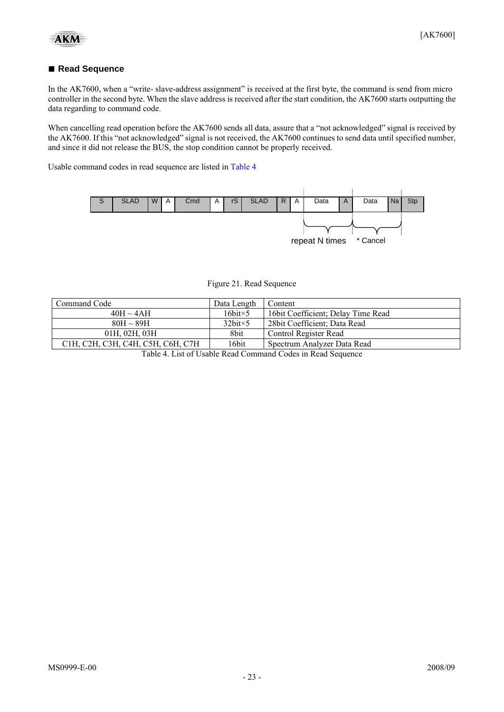#### <span id="page-22-0"></span>■ **Read Sequence**

In the AK7600, when a "write- slave-address assignment" is received at the first byte, the command is send from micro controller in the second byte. When the slave address is received after the start condition, the AK7600 starts outputting the data regarding to command code.

When cancelling read operation before the AK7600 sends all data, assure that a "not acknowledged" signal is received by the AK7600. If this "not acknowledged" signal is not received, the AK7600 continues to send data until specified number, and since it did not release the BUS, the stop condition cannot be properly received.

Usable command codes in read sequence are listed in [Table 4](#page-22-0)



| Command Code                                                | Data Length         | Content                             |  |  |
|-------------------------------------------------------------|---------------------|-------------------------------------|--|--|
| $40H \sim 4AH$                                              | $16$ bit $\times$ 5 | 16 bit Coefficient; Delay Time Read |  |  |
| $80H \sim 89H$                                              | $32bit \times 5$    | 28 bit Coefficient; Data Read       |  |  |
| 01H, 02H, 03H                                               | 8bit                | Control Register Read               |  |  |
| С1Н, С2Н, С3Н, С4Н, С5Н, С6Н, С7Н                           | 16bit               | Spectrum Analyzer Data Read         |  |  |
| Table 4. List of Usable Read Command Codes in Read Sequence |                     |                                     |  |  |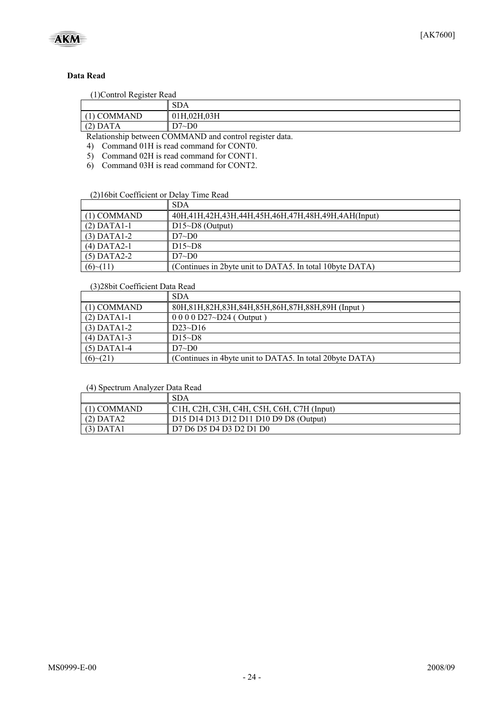

#### **Data Read**

#### (1)Control Register Read

| T JOURNAL INSISIOL INGAL                                                                                                                 |             |  |  |  |  |  |
|------------------------------------------------------------------------------------------------------------------------------------------|-------------|--|--|--|--|--|
|                                                                                                                                          | <b>SDA</b>  |  |  |  |  |  |
| <b>COMMAND</b>                                                                                                                           | 01H,02H,03H |  |  |  |  |  |
| $(2)$ DATA                                                                                                                               | D7~D0-      |  |  |  |  |  |
| $\mathbf{D}$ and $\mathbf{L}$ is the second $\mathbf{A}$ of $\mathbf{A}$ and $\mathbf{L}$ and $\mathbf{L}$ is the second of $\mathbf{L}$ |             |  |  |  |  |  |

Relationship between COMMAND and control register data.

4) Command 01H is read command for CONT0.

5) Command 02H is read command for CONT1.

6) Command 03H is read command for CONT2.

#### (2)16bit Coefficient or Delay Time Read

|               | <b>SDA</b>                                                   |
|---------------|--------------------------------------------------------------|
| $(1)$ COMMAND | 40H, 41H, 42H, 43H, 44H, 45H, 46H, 47H, 48H, 49H, 4AH(Input) |
| $(2)$ DATA1-1 | $D15\neg D8$ (Output)                                        |
| $(3)$ DATA1-2 | D7~D0                                                        |
| $(4)$ DATA2-1 | $D15-D8$                                                     |
| $(5)$ DATA2-2 | D7~D0                                                        |
| (6)~(11)      | (Continues in 2byte unit to DATA5. In total 10byte DATA)     |

#### (3)28bit Coefficient Data Read

|               | <b>SDA</b>                                               |
|---------------|----------------------------------------------------------|
| $(1)$ COMMAND | 80H, 81H, 82H, 83H, 84H, 85H, 86H, 87H, 88H, 89H (Input) |
| $(2)$ DATA1-1 | $0\ 0\ 0\ 0\ D27 \sim D24$ (Output)                      |
| $(3)$ DATA1-2 | $D23-D16$                                                |
| $(4)$ DATA1-3 | $D15-D8$                                                 |
| $(5)$ DATA1-4 | D7~D0                                                    |
| (6)~(21)      | (Continues in 4byte unit to DATA5. In total 20byte DATA) |

| (4) Spectrum Analyzer Data Read |  |
|---------------------------------|--|
|---------------------------------|--|

|               | SDA                                                   |
|---------------|-------------------------------------------------------|
| $(1)$ COMMAND | $\parallel$ C1H, C2H, C3H, C4H, C5H, C6H, C7H (Input) |
| (2) DATA2     | D15 D14 D13 D12 D11 D10 D9 D8 (Output)                |
| $(3)$ DATA1   | D7 D6 D5 D4 D3 D2 D1 D0                               |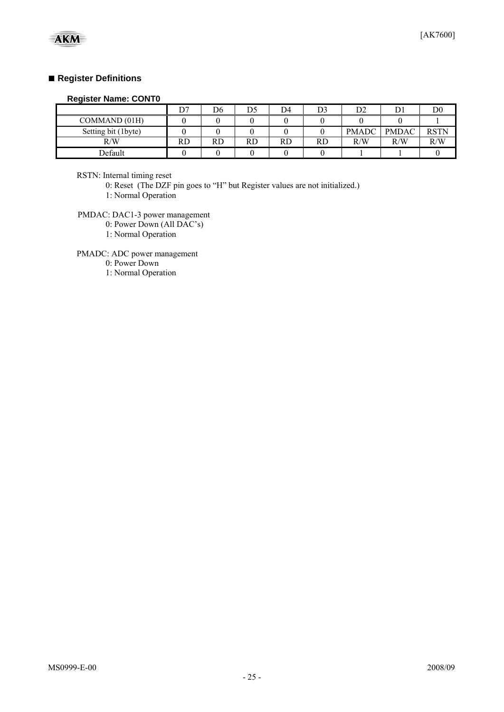#### **■ Register Definitions**

#### **Register Name: CONT0**

|                     | D7 | D6 | D. | D4        | D3 | D٥<br>◡▵     |              | D0          |
|---------------------|----|----|----|-----------|----|--------------|--------------|-------------|
| COMMAND (01H)       |    |    |    |           |    |              |              |             |
| Setting bit (1byte) |    |    |    |           |    | <b>PMADC</b> | <b>PMDAC</b> | <b>RSTN</b> |
| R/W                 | RD | RD | RD | <b>RD</b> | RD | R/W          | R/W          | R/W         |
| Default             |    |    |    |           |    |              |              |             |

RSTN: Internal timing reset

0: Reset (The DZF pin goes to "H" but Register values are not initialized.)

1: Normal Operation

PMDAC: DAC1-3 power management

0: Power Down (All DAC's)

1: Normal Operation

PMADC: ADC power management

0: Power Down

1: Normal Operation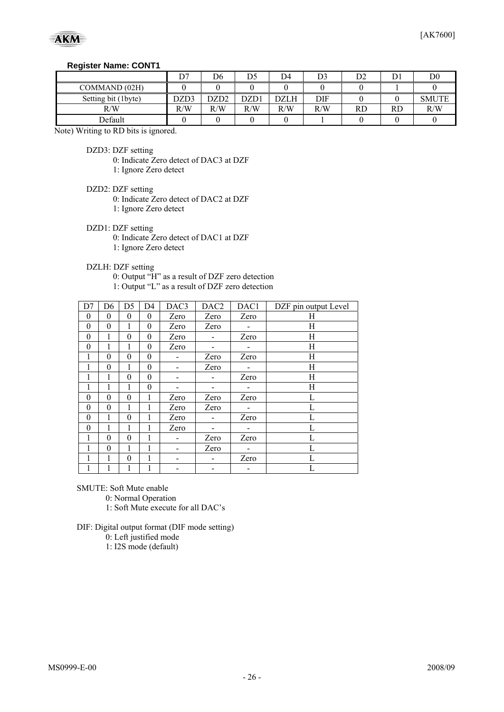#### **Register Name: CONT1**

|                     | D7   | D6   | D5   | D4   | D3  | ◡  |    | D <sub>0</sub> |
|---------------------|------|------|------|------|-----|----|----|----------------|
| COMMAND (02H)       |      |      |      |      |     |    |    |                |
| Setting bit (1byte) | DZD3 | DZD2 | DZD1 | DZLH | DIF |    |    | <b>SMUTE</b>   |
| R/W                 | R/W  | R/W  | R/W  | R/W  | R/W | RD | RD | R/W            |
| Default             |      |      |      |      |     |    |    |                |

Note) Writing to RD bits is ignored.

DZD3: DZF setting

0: Indicate Zero detect of DAC3 at DZF

1: Ignore Zero detect

DZD2: DZF setting

0: Indicate Zero detect of DAC2 at DZF

1: Ignore Zero detect

DZD1: DZF setting

0: Indicate Zero detect of DAC1 at DZF

1: Ignore Zero detect

DZLH: DZF setting

0: Output "H" as a result of DZF zero detection

1: Output "L" as a result of DZF zero detection

| D7       | D <sub>6</sub> | D <sub>5</sub>   | D <sub>4</sub> | DAC3 | DAC <sub>2</sub> | DAC1 | DZF pin output Level |
|----------|----------------|------------------|----------------|------|------------------|------|----------------------|
| 0        | $\theta$       | $\theta$         | $\theta$       | Zero | Zero             | Zero | Н                    |
| $\theta$ | $\theta$       | 1                | $\theta$       | Zero | Zero             |      | Н                    |
| $\theta$ | 1              | $\theta$         | $\theta$       | Zero |                  | Zero | Н                    |
| $\theta$ | 1              | 1                | $\theta$       | Zero |                  |      | Η                    |
| 1        | $\theta$       | $\theta$         | $\theta$       |      | Zero             | Zero | Н                    |
| 1        | $\theta$       | 1                | $\theta$       |      | Zero             |      | Н                    |
| 1        | 1              | $\theta$         | $\theta$       |      |                  | Zero | Н                    |
| 1        |                | 1                | $\theta$       |      |                  |      | Н                    |
| $\theta$ | $\theta$       | $\theta$         | 1              | Zero | Zero             | Zero | L                    |
| $\theta$ | $\theta$       | 1                | 1              | Zero | Zero             |      | L                    |
| $\theta$ | 1              | $\boldsymbol{0}$ | 1              | Zero |                  | Zero | L                    |
| $\theta$ | 1              | 1                | 1              | Zero |                  |      | L                    |
| 1        | $\theta$       | $\theta$         | 1              |      | Zero             | Zero | L                    |
| 1        | $\theta$       | 1                |                |      | Zero             |      | L                    |
| 1        |                | $\theta$         | 1              |      |                  | Zero | L                    |
| 1        |                | 1                | 1              |      |                  |      | L                    |

SMUTE: Soft Mute enable

0: Normal Operation

1: Soft Mute execute for all DAC's

DIF: Digital output format (DIF mode setting)

0: Left justified mode

1: I2S mode (default)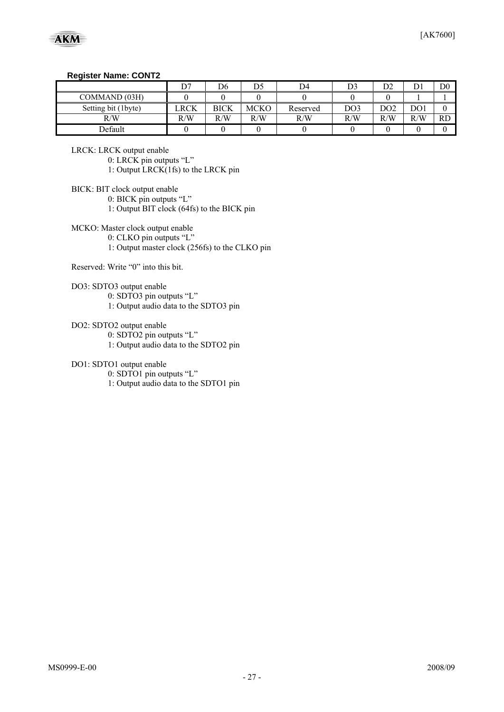#### **Register Name: CONT2**

|                     | D7   | D6   | D5   | D4       | D3              | D٥<br>υ∠ | ◡   | D <sub>0</sub> |
|---------------------|------|------|------|----------|-----------------|----------|-----|----------------|
| COMMAND (03H)       |      |      |      |          |                 |          |     |                |
| Setting bit (1byte) | LRCK | BICK | MCKC | Reserved | DO <sub>3</sub> | DO2      | DO1 |                |
| R/W                 | R/W  | R/W  | R/W  | R/W      | R/W             | R/W      | R/W | <b>RD</b>      |
| Default             |      |      |      |          |                 |          |     |                |

LRCK: LRCK output enable

0: LRCK pin outputs "L"

1: Output LRCK(1fs) to the LRCK pin

BICK: BIT clock output enable

0: BICK pin outputs "L"

1: Output BIT clock (64fs) to the BICK pin

MCKO: Master clock output enable

0: CLKO pin outputs "L"

1: Output master clock (256fs) to the CLKO pin

Reserved: Write "0" into this bit.

DO3: SDTO3 output enable

0: SDTO3 pin outputs "L" 1: Output audio data to the SDTO3 pin

DO2: SDTO2 output enable

0: SDTO2 pin outputs "L"

1: Output audio data to the SDTO2 pin

DO1: SDTO1 output enable

0: SDTO1 pin outputs "L"

1: Output audio data to the SDTO1 pin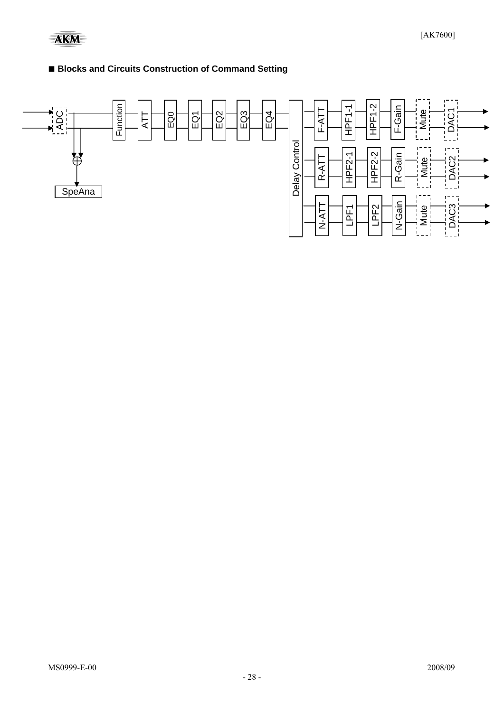### ■ **Blocks and Circuits Construction of Command Setting**

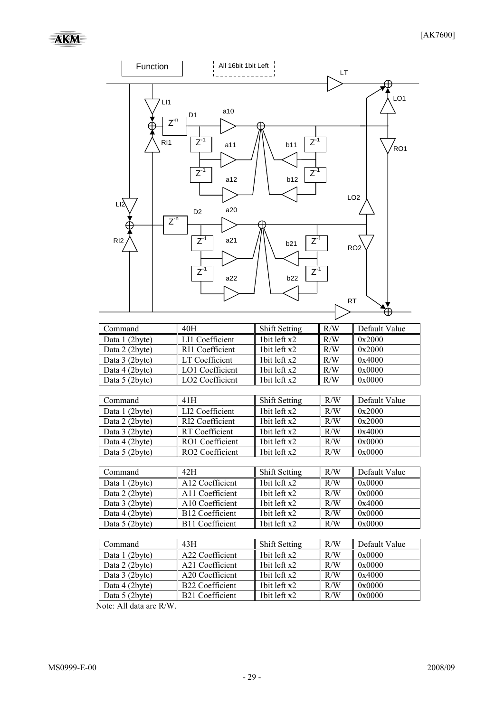

Note: All data are R/W.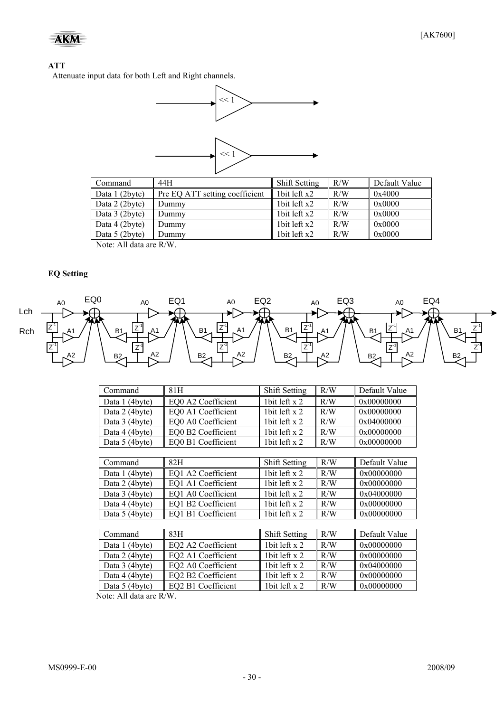#### **ATT**

Attenuate input data for both Left and Right channels.



| Command                             | 44H                            | <b>Shift Setting</b> | R/W | Default Value |
|-------------------------------------|--------------------------------|----------------------|-----|---------------|
| Data 1 (2byte)                      | Pre EQ ATT setting coefficient | 1 bit left $x2$      | R/W | 0x4000        |
| Data 2 (2byte)                      | Dummy                          | 1bit left x2         | R/W | 0x0000        |
| Data 3 (2byte)                      | Dummy                          | 1 bit left $x2$      | R/W | 0x0000        |
| Data 4 (2byte)                      | Dummy                          | 1bit left x2         | R/W | 0x0000        |
| Data 5 (2byte)                      | Dummy                          | 1 bit left $x2$      | R/W | 0x0000        |
| $N_{\text{obs}}$ , All Jata and DAV |                                |                      |     |               |

Note: All data are R/W.

#### **EQ Setting**



| Command                           | 81H                | <b>Shift Setting</b> | R/W | Default Value |
|-----------------------------------|--------------------|----------------------|-----|---------------|
| Data 1 (4byte)                    | EQ0 A2 Coefficient | 1bit left x 2        | R/W | 0x00000000    |
| Data 2 (4byte)                    | EQ0 A1 Coefficient | 1bit left x 2        | R/W | 0x00000000    |
| Data 3 (4byte)                    | EQ0 A0 Coefficient | 1bit left x 2        | R/W | 0x04000000    |
| Data 4 (4byte)                    | EQ0 B2 Coefficient | 1bit left x 2        | R/W | 0x00000000    |
| Data 5 (4byte)                    | EQ0 B1 Coefficient | 1bit left x 2        | R/W | 0x00000000    |
|                                   |                    |                      |     |               |
| Command                           | 82H                | <b>Shift Setting</b> | R/W | Default Value |
| Data 1 (4byte)                    | EO1 A2 Coefficient | 1 bit left $x$ 2     | R/W | 0x00000000    |
| Data 2 (4byte)                    | EQ1 A1 Coefficient | 1 bit left $x$ 2     | R/W | 0x00000000    |
| Data 3 (4byte)                    | EQ1 A0 Coefficient | 1bit left x 2        | R/W | 0x04000000    |
| Data 4 (4byte)                    | EQ1 B2 Coefficient | 1bit left x 2        | R/W | 0x00000000    |
| Data 5 (4byte)                    | EQ1 B1 Coefficient | 1bit left x 2        | R/W | 0x00000000    |
|                                   |                    |                      |     |               |
| Command                           | 83H                | <b>Shift Setting</b> | R/W | Default Value |
| Data 1 (4byte)                    | EQ2 A2 Coefficient | 1bit left x 2        | R/W | 0x00000000    |
| Data 2 (4byte)                    | EQ2 A1 Coefficient | 1bit left x 2        | R/W | 0x00000000    |
| Data 3 (4byte)                    | EQ2 A0 Coefficient | 1bit left x 2        | R/W | 0x04000000    |
| Data 4 (4byte)                    | EQ2 B2 Coefficient | 1bit left x 2        | R/W | 0x00000000    |
| Data 5 (4byte)                    | EQ2 B1 Coefficient | 1bit left x 2        | R/W | 0x00000000    |
| $J_{\alpha}$ ta: All data ara D/W |                    |                      |     |               |

Note: All data are R/W.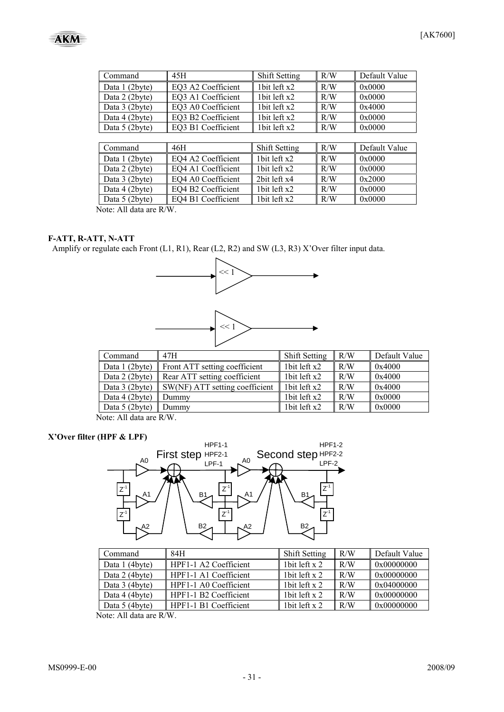| Command        | 45H                | <b>Shift Setting</b> | R/W | Default Value |
|----------------|--------------------|----------------------|-----|---------------|
| Data 1 (2byte) | EQ3 A2 Coefficient | 1bit left x2         | R/W | 0x0000        |
| Data 2 (2byte) | EQ3 A1 Coefficient | 1bit left x2         | R/W | 0x0000        |
| Data 3 (2byte) | EQ3 A0 Coefficient | 1bit left x2         | R/W | 0x4000        |
| Data 4 (2byte) | EQ3 B2 Coefficient | 1bit left x2         | R/W | 0x0000        |
| Data 5 (2byte) | EQ3 B1 Coefficient | 1bit left x2         | R/W | 0x0000        |
|                |                    |                      |     |               |
| Command        | 46H                | Shift Setting        | R/W | Default Value |
| Data 1 (2byte) | EQ4 A2 Coefficient | 1 $bit$ left $x2$    | R/W | 0x0000        |
| Data 2 (2byte) | EQ4 A1 Coefficient | 1bit left x2         | R/W | 0x0000        |
| Data 3 (2byte) | EQ4 A0 Coefficient | 2bit left x4         | R/W | 0x2000        |
| Data 4 (2byte) | EQ4 B2 Coefficient | 1bit left x2         | R/W | 0x0000        |
| Data 5 (2byte) | EQ4 B1 Coefficient | 1bit left x2         | R/W | 0x0000        |

Note: All data are R/W.

#### **F-ATT, R-ATT, N-ATT**

Amplify or regulate each Front (L1, R1), Rear (L2, R2) and SW (L3, R3) X'Over filter input data.



| Command                                                          | 47H                            | Shift Setting | R/W | Default Value |
|------------------------------------------------------------------|--------------------------------|---------------|-----|---------------|
| Data 1 (2byte)                                                   | Front ATT setting coefficient  | 1bit left x2  | R/W | 0x4000        |
| Data 2 (2byte)                                                   | Rear ATT setting coefficient   | 1bit left x2  | R/W | 0x4000        |
| Data 3 (2byte)                                                   | SW(NF) ATT setting coefficient | 1bit left x2  | R/W | 0x4000        |
| Data 4 (2byte)                                                   | Dummy                          | 1bit left x2  | R/W | 0x0000        |
| Data 5 (2byte)                                                   | Dummy                          | 1bit left x2  | R/W | 0x0000        |
| $\mathbf{M}$ $\mathbf{M}$ $\mathbf{M}$ $\mathbf{M}$ $\mathbf{M}$ |                                |               |     |               |

Note: All data are R/W.

#### **X'Over filter (HPF & LPF)**



| Command        | 84H                               | <b>Shift Setting</b> | R/W | Default Value |
|----------------|-----------------------------------|----------------------|-----|---------------|
| Data 1 (4byte) | HPF1-1 A2 Coefficient             | l bit left x 2       | R/W | 0x00000000    |
| Data 2 (4byte) | HPF1-1 A1 Coefficient             | l bit left x 2       | R/W | 0x00000000    |
| Data 3 (4byte) | $\parallel$ HPF1-1 A0 Coefficient | 1 bit left $x$ 2     | R/W | 0x04000000    |
| Data 4 (4byte) | HPF1-1 B2 Coefficient             | l bit left x 2       | R/W | 0x00000000    |
| Data 5 (4byte) | HPF1-1 B1 Coefficient             | l bit left x 2       | R/W | 0x00000000    |

Note: All data are R/W.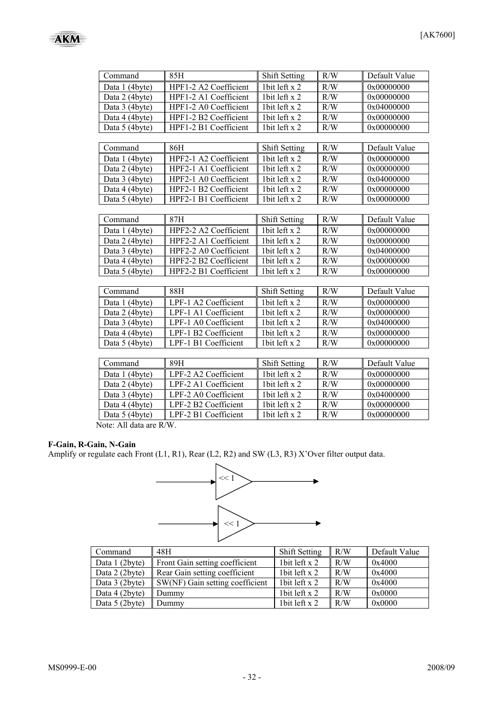

| Command        | 85H                   | Shift Setting        | R/W | Default Value |
|----------------|-----------------------|----------------------|-----|---------------|
| Data 1 (4byte) | HPF1-2 A2 Coefficient | 1bit left x 2        | R/W | 0x00000000    |
| Data 2 (4byte) | HPF1-2 A1 Coefficient | 1bit left x 2        | R/W | 0x00000000    |
| Data 3 (4byte) | HPF1-2 A0 Coefficient | 1bit left x 2        | R/W | 0x04000000    |
| Data 4 (4byte) | HPF1-2 B2 Coefficient | 1bit left x 2        | R/W | 0x00000000    |
| Data 5 (4byte) | HPF1-2 B1 Coefficient | 1bit left x 2        | R/W | 0x00000000    |
|                |                       |                      |     |               |
| Command        | 86H                   | Shift Setting        | R/W | Default Value |
| Data 1 (4byte) | HPF2-1 A2 Coefficient | 1bit left x 2        | R/W | 0x00000000    |
| Data 2 (4byte) | HPF2-1 A1 Coefficient | 1bit left x 2        | R/W | 0x00000000    |
| Data 3 (4byte) | HPF2-1 A0 Coefficient | 1bit left x 2        | R/W | 0x04000000    |
| Data 4 (4byte) | HPF2-1 B2 Coefficient | 1bit left x 2        | R/W | 0x00000000    |
| Data 5 (4byte) | HPF2-1 B1 Coefficient | 1bit left x 2        | R/W | 0x00000000    |
|                |                       |                      |     |               |
| Command        | 87H                   | <b>Shift Setting</b> | R/W | Default Value |
| Data 1 (4byte) | HPF2-2 A2 Coefficient | 1bit left x 2        | R/W | 0x00000000    |
| Data 2 (4byte) | HPF2-2 A1 Coefficient | 1bit left x 2        | R/W | 0x00000000    |
| Data 3 (4byte) | HPF2-2 A0 Coefficient | 1bit left x 2        | R/W | 0x04000000    |
| Data 4 (4byte) | HPF2-2 B2 Coefficient | 1bit left x 2        | R/W | 0x00000000    |
| Data 5 (4byte) | HPF2-2 B1 Coefficient |                      | R/W | 0x00000000    |
|                |                       |                      |     |               |
| Command        | 88H                   | <b>Shift Setting</b> | R/W | Default Value |
| Data 1 (4byte) | LPF-1 A2 Coefficient  | 1bit left x 2        | R/W | 0x00000000    |
| Data 2 (4byte) | LPF-1 A1 Coefficient  | 1bit left x 2        | R/W | 0x00000000    |
| Data 3 (4byte) | LPF-1 A0 Coefficient  | 1bit left x 2        | R/W | 0x04000000    |
| Data 4 (4byte) | LPF-1 B2 Coefficient  | 1 bit left $x$ 2     | R/W | 0x00000000    |
| Data 5 (4byte) | LPF-1 B1 Coefficient  | 1bit left x 2        | R/W | 0x00000000    |
|                |                       |                      |     |               |
| Command        | 89H                   | Shift Setting        | R/W | Default Value |
| Data 1 (4byte) | LPF-2 A2 Coefficient  | 1bit left x 2        | R/W | 0x00000000    |
| Data 2 (4byte) | LPF-2 A1 Coefficient  | 1bit left x 2        | R/W | 0x00000000    |
| Data 3 (4byte) | LPF-2 A0 Coefficient  | 1bit left x 2        | R/W | 0x04000000    |
| Data 4 (4byte) | LPF-2 B2 Coefficient  | 1bit left x 2        | R/W | 0x00000000    |
| Data 5 (4byte) | LPF-2 B1 Coefficient  | 1bit left x 2        | R/W | 0x00000000    |

Note: All data are R/W.

#### **F-Gain, R-Gain, N-Gain**

Amplify or regulate each Front (L1, R1), Rear (L2, R2) and SW (L3, R3) X'Over filter output data.



| Command        | 48H                             | <b>Shift Setting</b> | R/W | Default Value  |
|----------------|---------------------------------|----------------------|-----|----------------|
| Data 1 (2byte) | Front Gain setting coefficient  | 1 bit left $x$ 2     | R/W | 0x4000         |
| Data 2 (2byte) | Rear Gain setting coefficient   | 1 bit left $x$ 2     | R/W | $\vert$ 0x4000 |
| Data 3 (2byte) | SW(NF) Gain setting coefficient | 1 bit left $x$ 2     | R/W | $\vert$ 0x4000 |
| Data 4 (2byte) | Dummy                           | 1 bit left $x$ 2     | R/W | 0x0000         |
| Data 5 (2byte) | Dummy                           | 1 bit left $x$ 2     | R/W | 0x0000         |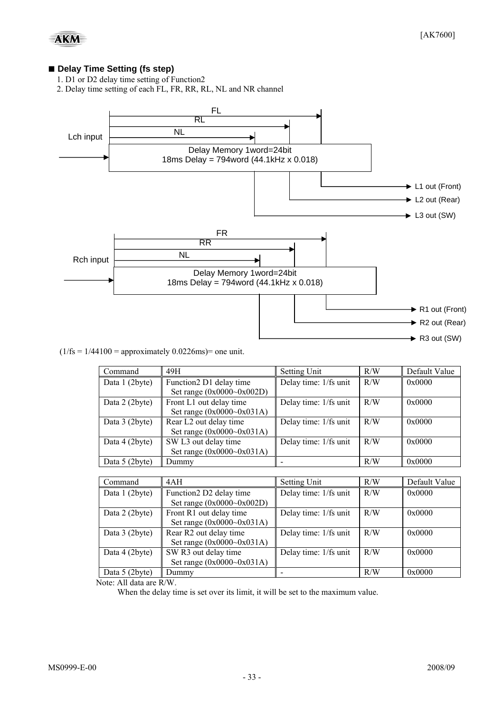#### ■ Delay Time Setting (fs step)

- 1. D1 or D2 delay time setting of Function2
- 2. Delay time setting of each FL, FR, RR, RL, NL and NR channel



#### $(1/\text{fs} = 1/44100)$  = approximately 0.0226ms) = one unit.

| Command        | 49H                                | Setting Unit          | R/W | Default Value |
|----------------|------------------------------------|-----------------------|-----|---------------|
| Data 1 (2byte) | Function2 D1 delay time            | Delay time: 1/fs unit | R/W | 0x0000        |
|                | Set range $(0x0000-0x002D)$        |                       |     |               |
| Data 2 (2byte) | Front L1 out delay time            | Delay time: 1/fs unit | R/W | 0x0000        |
|                | Set range $(0x0000-0x031A)$        |                       |     |               |
| Data 3 (2byte) | Rear L <sub>2</sub> out delay time | Delay time: 1/fs unit | R/W | 0x0000        |
|                | Set range $(0x0000-0x031A)$        |                       |     |               |
| Data 4 (2byte) | SW L3 out delay time               | Delay time: 1/fs unit | R/W | 0x0000        |
|                | Set range $(0x0000-0x031A)$        |                       |     |               |
| Data 5 (2byte) | Dummy                              |                       | R/W | 0x0000        |

| Command        | 4AH                         | <b>Setting Unit</b>   | R/W | Default Value |
|----------------|-----------------------------|-----------------------|-----|---------------|
| Data 1 (2byte) | Function2 D2 delay time     | Delay time: 1/fs unit | R/W | 0x0000        |
|                | Set range $(0x0000-0x002D)$ |                       |     |               |
| Data 2 (2byte) | Front R1 out delay time     | Delay time: 1/fs unit | R/W | 0x0000        |
|                | Set range $(0x0000-0x031A)$ |                       |     |               |
| Data 3 (2byte) | Rear R2 out delay time      | Delay time: 1/fs unit | R/W | 0x0000        |
|                | Set range $(0x0000-0x031A)$ |                       |     |               |
| Data 4 (2byte) | SW R3 out delay time        | Delay time: 1/fs unit | R/W | 0x0000        |
|                | Set range $(0x0000-0x031A)$ |                       |     |               |
| Data 5 (2byte) | Dummy                       |                       | R/W | 0x0000        |

Note: All data are R/W.

When the delay time is set over its limit, it will be set to the maximum value.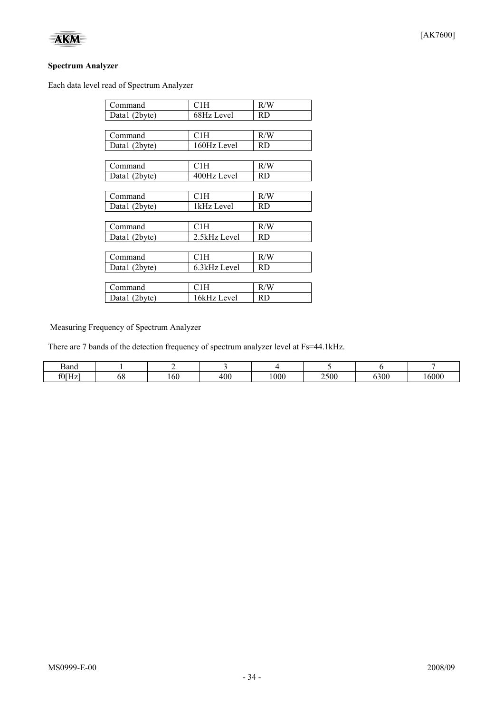

Each data level read of Spectrum Analyzer

| Command       | C1H          | R/W       |
|---------------|--------------|-----------|
| Data1 (2byte) | 68Hz Level   | RD        |
|               |              |           |
| Command       | C1H          | R/W       |
| Data1 (2byte) | 160Hz Level  | RD        |
|               |              |           |
| Command       | C1H          | R/W       |
| Data1 (2byte) | 400Hz Level  | RD.       |
|               |              |           |
| Command       | C1H          | R/W       |
| Data1 (2byte) | 1kHz Level   | <b>RD</b> |
|               |              |           |
| Command       | C1H          | R/W       |
| Data1 (2byte) | 2.5kHz Level | RD        |
|               |              |           |
| Command       | C1H          | R/W       |
| Data1 (2byte) | 6.3kHz Level | RD.       |
|               |              |           |
| Command       | C1H          | R/W       |
| Data1 (2byte) | 16kHz Level  | <b>RD</b> |

Measuring Frequency of Spectrum Analyzer

There are 7 bands of the detection frequency of spectrum analyzer level at Fs=44.1kHz.

| 3and  |    |     |     |      |      |      |      |
|-------|----|-----|-----|------|------|------|------|
| f0[Hz | oc | .ou | 400 | 1000 | 2500 | 6300 | 6000 |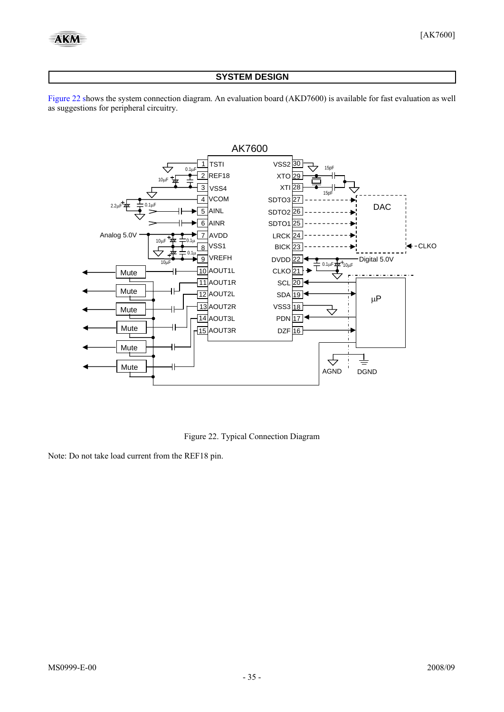#### **SYSTEM DESIGN**

<span id="page-34-0"></span>[Figure 22](#page-34-0) shows the system connection diagram. An evaluation board (AKD7600) is available for fast evaluation as well as suggestions for peripheral circuitry.



Figure 22. Typical Connection Diagram

Note: Do not take load current from the REF18 pin.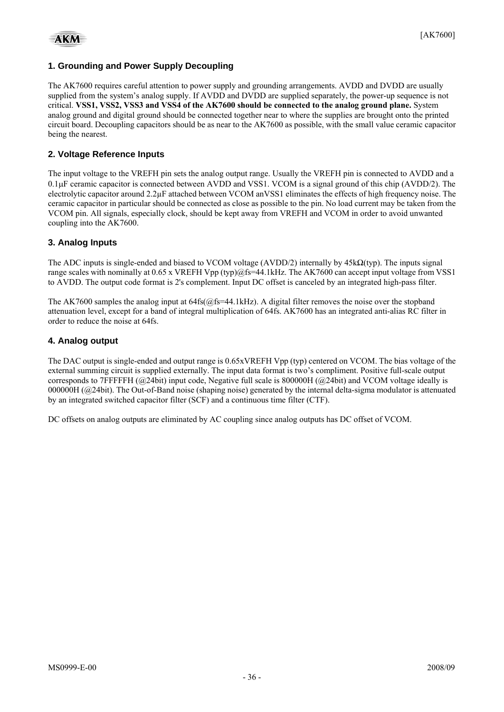#### **1. Grounding and Power Supply Decoupling**

The AK7600 requires careful attention to power supply and grounding arrangements. AVDD and DVDD are usually supplied from the system's analog supply. If AVDD and DVDD are supplied separately, the power-up sequence is not critical. **VSS1, VSS2, VSS3 and VSS4 of the AK7600 should be connected to the analog ground plane.** System analog ground and digital ground should be connected together near to where the supplies are brought onto the printed circuit board. Decoupling capacitors should be as near to the AK7600 as possible, with the small value ceramic capacitor being the nearest.

#### **2. Voltage Reference Inputs**

The input voltage to the VREFH pin sets the analog output range. Usually the VREFH pin is connected to AVDD and a 0.1μF ceramic capacitor is connected between AVDD and VSS1. VCOM is a signal ground of this chip (AVDD/2). The electrolytic capacitor around 2.2µF attached between VCOM anVSS1 eliminates the effects of high frequency noise. The ceramic capacitor in particular should be connected as close as possible to the pin. No load current may be taken from the VCOM pin. All signals, especially clock, should be kept away from VREFH and VCOM in order to avoid unwanted coupling into the AK7600.

#### **3. Analog Inputs**

The ADC inputs is single-ended and biased to VCOM voltage (AVDD/2) internally by  $45k\Omega(typ)$ . The inputs signal range scales with nominally at 0.65 x VREFH Vpp (typ)@fs=44.1kHz. The AK7600 can accept input voltage from VSS1 to AVDD. The output code format is 2's complement. Input DC offset is canceled by an integrated high-pass filter.

The AK7600 samples the analog input at  $64fs(@fs=44.1kHz)$ . A digital filter removes the noise over the stopband attenuation level, except for a band of integral multiplication of 64fs. AK7600 has an integrated anti-alias RC filter in order to reduce the noise at 64fs.

#### **4. Analog output**

The DAC output is single-ended and output range is 0.65xVREFH Vpp (typ) centered on VCOM. The bias voltage of the external summing circuit is supplied externally. The input data format is two's compliment. Positive full-scale output corresponds to 7FFFFFH (@24bit) input code, Negative full scale is 800000H (@24bit) and VCOM voltage ideally is 000000H (@24bit). The Out-of-Band noise (shaping noise) generated by the internal delta-sigma modulator is attenuated by an integrated switched capacitor filter (SCF) and a continuous time filter (CTF).

DC offsets on analog outputs are eliminated by AC coupling since analog outputs has DC offset of VCOM.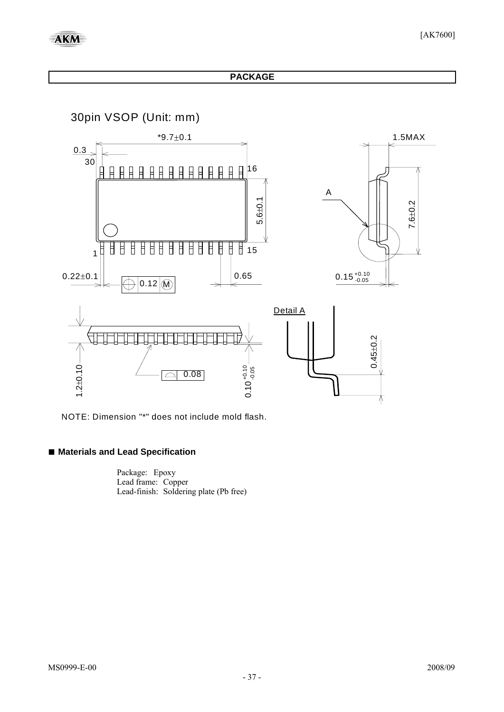#### **PACKAGE**

30pin VSOP (Unit: mm)



NOTE: Dimension "\*" does not include mold flash.

#### **■ Materials and Lead Specification**

Package: Epoxy Lead frame: Copper Lead-finish: Soldering plate (Pb free)